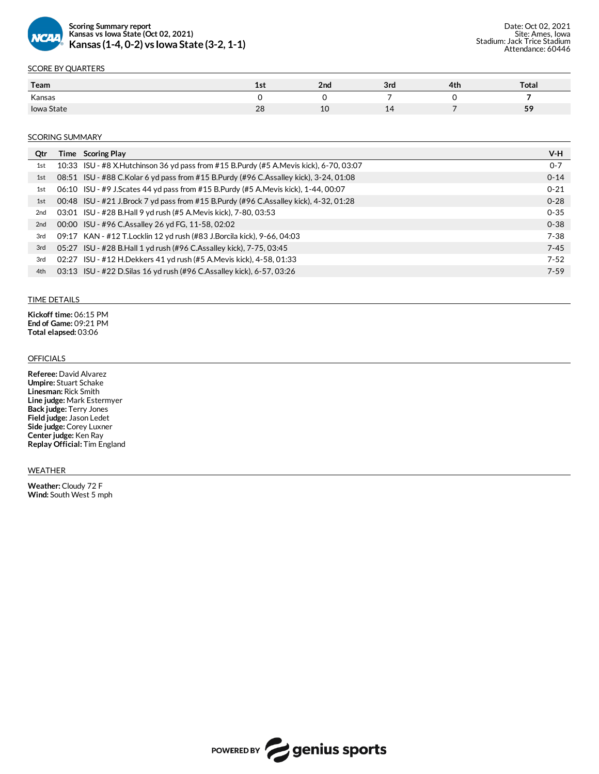

## SCORE BY QUARTERS

| Team            | 15 L     | 2nd | 3rd            | 4th | Total         |
|-----------------|----------|-----|----------------|-----|---------------|
| Kansas          |          |     |                |     |               |
| State<br>lowa ! | nc<br>zo | ᅩ   | $\overline{a}$ |     | 50<br>$\cdot$ |

#### **SCORING SUMMARY**

| Qtr             |       | Time Scoring Play                                                                         | V-H      |
|-----------------|-------|-------------------------------------------------------------------------------------------|----------|
| 1st             |       | 10:33 ISU - #8 X. Hutchinson 36 yd pass from #15 B. Purdy (#5 A. Mevis kick), 6-70, 03:07 | $0 - 7$  |
| 1st             |       | 08:51 ISU - #88 C.Kolar 6 yd pass from #15 B.Purdy (#96 C.Assalley kick), 3-24, 01:08     | $0 - 14$ |
| 1st             |       | 06:10 ISU - #9 J.Scates 44 yd pass from #15 B.Purdy (#5 A.Mevis kick), 1-44, 00:07        | $0 - 21$ |
| 1st             |       | 00:48 ISU - #21 J.Brock 7 yd pass from #15 B.Purdy (#96 C.Assalley kick), 4-32, 01:28     | $0 - 28$ |
| 2 <sub>nd</sub> |       | 03:01 ISU - #28 B.Hall 9 yd rush (#5 A.Mevis kick), 7-80, 03:53                           | $0 - 35$ |
| 2 <sub>nd</sub> |       | 00:00 ISU - #96 C.Assalley 26 yd FG, 11-58, 02:02                                         | $0 - 38$ |
| 3rd             |       | 09:17 KAN - #12 T.Locklin 12 yd rush (#83 J.Borcila kick), 9-66, 04:03                    | $7 - 38$ |
| 3rd             |       | 05:27 ISU - #28 B.Hall 1 yd rush (#96 C.Assalley kick), 7-75, 03:45                       | $7 - 45$ |
| 3rd             | 02:27 | ISU - #12 H.Dekkers 41 yd rush (#5 A.Mevis kick), 4-58, 01:33                             | $7 - 52$ |
| 4th             |       | 03:13 ISU - #22 D. Silas 16 yd rush (#96 C. Assalley kick), 6-57, 03:26                   | $7 - 59$ |
|                 |       |                                                                                           |          |

#### TIME DETAILS

**Kickoff time:** 06:15 PM **End of Game:** 09:21 PM **Total elapsed:** 03:06

### OFFICIALS

**Referee:** David Alvarez **Umpire:** Stuart Schake **Linesman:** Rick Smith **Line judge:** Mark Estermyer **Back judge:** Terry Jones **Field judge:**Jason Ledet **Side judge:** Corey Luxner **Centerjudge:** Ken Ray **Replay Official:** Tim England

#### WEATHER

**Weather:** Cloudy 72 F **Wind:** South West 5 mph

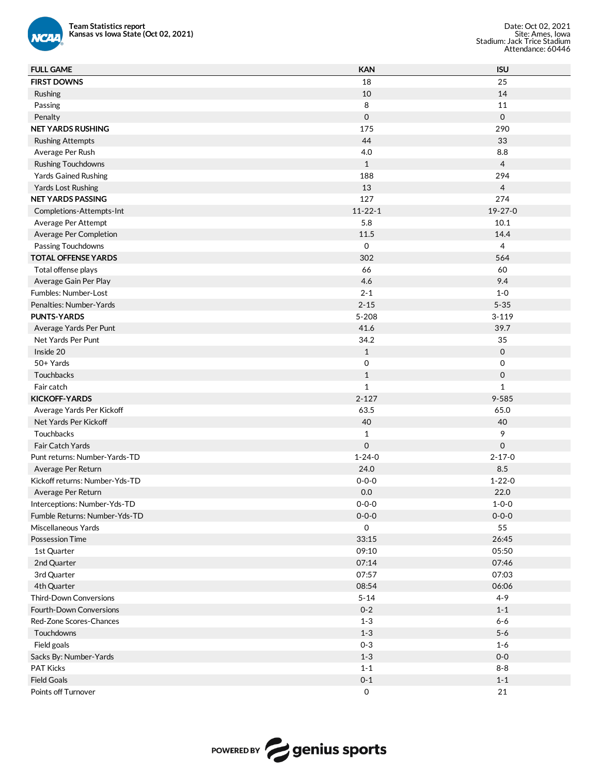

| <b>Team Statistics report</b><br>Kansas vs Iowa State (Oct 02, 2021)<br><b>NCAA</b> |               | Date: Oct 02, 2021<br>Site: Ames, Iowa<br>Stadium: Jack Trice Stadium<br>Attendance: 60446 |
|-------------------------------------------------------------------------------------|---------------|--------------------------------------------------------------------------------------------|
| <b>FULL GAME</b>                                                                    | <b>KAN</b>    | <b>ISU</b>                                                                                 |
| <b>FIRST DOWNS</b>                                                                  | 18            | 25                                                                                         |
| Rushing                                                                             | 10            | 14                                                                                         |
| Passing                                                                             | 8             | 11                                                                                         |
| Penalty                                                                             | 0             | $\mathsf{O}$                                                                               |
| <b>NET YARDS RUSHING</b>                                                            | 175           | 290                                                                                        |
| <b>Rushing Attempts</b>                                                             | 44            | 33                                                                                         |
| Average Per Rush                                                                    | 4.0           | 8.8                                                                                        |
| <b>Rushing Touchdowns</b>                                                           | $\mathbf{1}$  | $\overline{4}$                                                                             |
| <b>Yards Gained Rushing</b>                                                         | 188           | 294                                                                                        |
| <b>Yards Lost Rushing</b>                                                           | 13            | $\overline{4}$                                                                             |
| <b>NET YARDS PASSING</b>                                                            | 127           | 274                                                                                        |
| Completions-Attempts-Int                                                            | $11 - 22 - 1$ | 19-27-0                                                                                    |
| Average Per Attempt                                                                 | 5.8           | 10.1                                                                                       |
| Average Per Completion                                                              | 11.5          | 14.4                                                                                       |
| Passing Touchdowns                                                                  | 0             | $\overline{4}$                                                                             |
| <b>TOTAL OFFENSE YARDS</b>                                                          | 302           | 564                                                                                        |
|                                                                                     | 66            | 60                                                                                         |
| Total offense plays                                                                 |               |                                                                                            |
| Average Gain Per Play                                                               | 4.6           | 9.4                                                                                        |
| Fumbles: Number-Lost                                                                | $2 - 1$       | $1-0$                                                                                      |
| Penalties: Number-Yards                                                             | $2 - 15$      | $5 - 35$                                                                                   |
| <b>PUNTS-YARDS</b>                                                                  | $5 - 208$     | $3 - 119$                                                                                  |
| Average Yards Per Punt                                                              | 41.6          | 39.7                                                                                       |
| Net Yards Per Punt                                                                  | 34.2          | 35                                                                                         |
| Inside 20                                                                           | $\mathbf{1}$  | $\mathbf 0$                                                                                |
| 50+ Yards                                                                           | 0             | 0                                                                                          |
| Touchbacks                                                                          | $\mathbf{1}$  | 0                                                                                          |
| Fair catch                                                                          | $\mathbf{1}$  | $\mathbf{1}$                                                                               |
| <b>KICKOFF-YARDS</b>                                                                | $2 - 127$     | 9-585                                                                                      |
| Average Yards Per Kickoff                                                           | 63.5          | 65.0                                                                                       |
| Net Yards Per Kickoff                                                               | 40            | 40                                                                                         |
| Touchbacks                                                                          | $\mathbf{1}$  | 9                                                                                          |
| Fair Catch Yards                                                                    | 0             | 0                                                                                          |
| Punt returns: Number-Yards-TD                                                       | $1 - 24 - 0$  | $2 - 17 - 0$                                                                               |
| Average Per Return                                                                  | 24.0          | 8.5                                                                                        |
| Kickoff returns: Number-Yds-TD                                                      | $0 - 0 - 0$   | $1 - 22 - 0$                                                                               |
| Average Per Return                                                                  | $0.0\,$       | 22.0                                                                                       |
| Interceptions: Number-Yds-TD                                                        | $0 - 0 - 0$   | $1 - 0 - 0$                                                                                |
| Fumble Returns: Number-Yds-TD                                                       | $0 - 0 - 0$   | $0 - 0 - 0$                                                                                |
| Miscellaneous Yards                                                                 | 0             | 55                                                                                         |
| <b>Possession Time</b>                                                              | 33:15         | 26:45                                                                                      |
| 1st Quarter                                                                         | 09:10         | 05:50                                                                                      |
| 2nd Quarter                                                                         | 07:14         | 07:46                                                                                      |
| 3rd Quarter                                                                         | 07:57         | 07:03                                                                                      |
| 4th Quarter                                                                         | 08:54         | 06:06                                                                                      |
| Third-Down Conversions                                                              | $5 - 14$      | $4 - 9$                                                                                    |
| Fourth-Down Conversions                                                             | $0 - 2$       | $1 - 1$                                                                                    |
| Red-Zone Scores-Chances                                                             | $1 - 3$       | $6-6$                                                                                      |
| Touchdowns                                                                          | $1 - 3$       | $5 - 6$                                                                                    |
| Field goals                                                                         | $0 - 3$       | $1-6$                                                                                      |
| Sacks By: Number-Yards                                                              | $1 - 3$       | $0-0$                                                                                      |
| PAT Kicks                                                                           | $1 - 1$       | $8 - 8$                                                                                    |
| <b>Field Goals</b>                                                                  | $0 - 1$       | $1 - 1$                                                                                    |
|                                                                                     |               | 21                                                                                         |
| Points off Turnover                                                                 | 0             |                                                                                            |

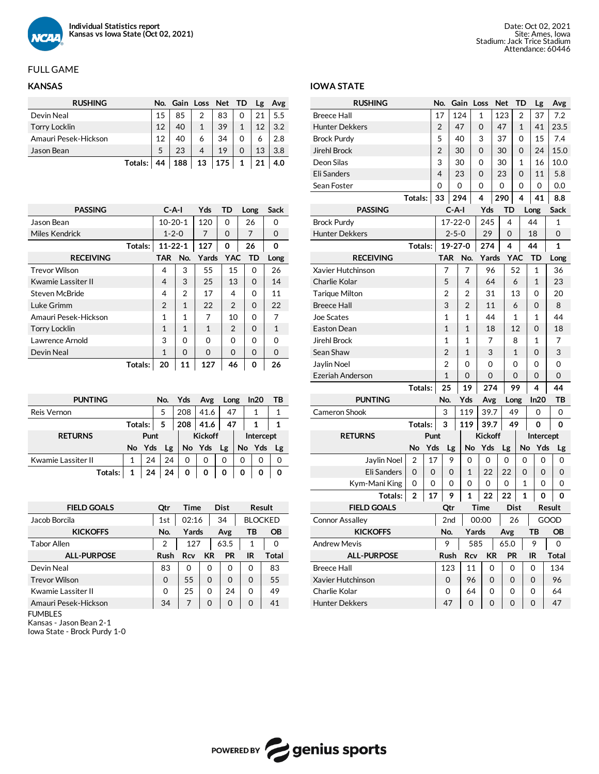

# **KANSAS**

| <b>RUSHING</b>       |         |    | No. Gain Loss Net TD |              |     |              | Lg | Avg |
|----------------------|---------|----|----------------------|--------------|-----|--------------|----|-----|
| Devin Neal           |         | 15 | 85                   | 2            | 83  | 0            | 21 | 5.5 |
| <b>Torry Locklin</b> |         | 12 | 40                   | $\mathbf{1}$ | 39  | $\mathbf{1}$ | 12 | 3.2 |
| Amauri Pesek-Hickson |         | 12 | 40                   | 6            | 34  | 0            | 6  | 2.8 |
| Jason Bean           |         | 5  | 23                   | 4            | 19  | 0            | 13 | 3.8 |
|                      | Totals: | 44 | 188                  | 13           | 175 | 1            | 21 | 4.0 |

| <b>PASSING</b>        | $C-A-I$        |              | Yds      | TD         | Long     | Sack     |
|-----------------------|----------------|--------------|----------|------------|----------|----------|
| Jason Bean            | $10-20-1$      |              | 120      | 0          | 26       | O        |
| Miles Kendrick        | $1 - 2 - 0$    |              | 7        | $\Omega$   | 7        | $\Omega$ |
| Totals:               | $11 - 22 - 1$  |              | 127      | 0          | 26       | 0        |
| <b>RECEIVING</b>      | TAR            | No.          | Yards    | <b>YAC</b> | TD       | Long     |
| <b>Trevor Wilson</b>  | 4              | 3            | 55       | 15         | 0        | 26       |
| Kwamie Lassiter II    | 4              | 3            | 25       | 13         | $\Omega$ | 14       |
| <b>Steven McBride</b> | 4              | 2            | 17       | 4          | 0        | 11       |
| Luke Grimm            | $\overline{2}$ | $\mathbf{1}$ | 22       | 2          | $\Omega$ | 22       |
| Amauri Pesek-Hickson  | 1              | 1            | 7        | 10         | $\Omega$ | 7        |
| <b>Torry Locklin</b>  | $\mathbf{1}$   | 1            | 1        | 2          | $\Omega$ | 1        |
| Lawrence Arnold       | 3              | $\Omega$     | $\Omega$ | $\Omega$   | $\Omega$ | ∩        |
| Devin Neal            | $\mathbf{1}$   | $\Omega$     | $\Omega$ | $\Omega$   | $\Omega$ | $\Omega$ |
| Totals:               | 20             | 11           | 127      | 46         | Ω        | 26       |

| <b>PUNTING</b>     |           |    | No. Yds   |                | Avg       | Long |   | In20   | ΤВ        |  |
|--------------------|-----------|----|-----------|----------------|-----------|------|---|--------|-----------|--|
| Reis Vernon        |           |    | 5         | 208            | 41.6      | 47   |   |        |           |  |
|                    | Totals: 5 |    |           | 208            | 41.6      | 47   |   | 1      |           |  |
| <b>RETURNS</b>     | Punt      |    |           | <b>Kickoff</b> |           |      |   |        | Intercept |  |
|                    |           |    | No Yds Lg |                | No Yds Lg |      |   | No Yds | <b>Lg</b> |  |
| Kwamie Lassiter II |           | 24 | 24        | 0              | 0         | 0    | Ω | Ω      |           |  |
| Totals:            | 1         | 24 | 24        | 0              | 0         | 0    | 0 | 0      | ŋ         |  |

| <b>FIELD GOALS</b>   | Otr      | <b>Time</b> |           | <b>Dist</b> |                | <b>Result</b> |
|----------------------|----------|-------------|-----------|-------------|----------------|---------------|
| Jacob Borcila        | 1st      | 02:16       |           | 34          | <b>BLOCKED</b> |               |
| <b>KICKOFFS</b>      | No.      | Yards       |           | Avg         | ТB             | <b>OB</b>     |
| <b>Tabor Allen</b>   | 2        | 127         |           | 63.5        | 1              | 0             |
| <b>ALL-PURPOSE</b>   | Rush     | Rcv         | <b>KR</b> | <b>PR</b>   | IR             | Total         |
| Devin Neal           | 83       | $\Omega$    | $\Omega$  | $\Omega$    | 0              | 83            |
| <b>Trevor Wilson</b> | $\Omega$ | 55          | $\Omega$  | $\Omega$    | $\Omega$       | 55            |
| Kwamie Lassiter II   | $\Omega$ | 25          | $\Omega$  | 24          | $\Omega$       | 49            |
| Amauri Pesek-Hickson | 34       | 7           | $\Omega$  | $\Omega$    | 0              | 41            |
| <b>FUMBLES</b>       |          |             |           |             |                |               |

Kansas - Jason Bean 2-1

Iowa State - Brock Purdy 1-0

# Date: Oct 02, 2021 Site: Ames, Iowa Stadium:Jack Trice Stadium Attendance: 60446

## **IOWA STATE**

| <b>RUSHING</b>         |                |      | No.            |                | Gain           |     | Loss           | <b>Net</b> |          | TD           |      | Lg           | Avg            |  |
|------------------------|----------------|------|----------------|----------------|----------------|-----|----------------|------------|----------|--------------|------|--------------|----------------|--|
| <b>Breece Hall</b>     |                |      | 17             |                | 124            |     | 1              | 123        |          | 2            |      | 37           | 7.2            |  |
| <b>Hunter Dekkers</b>  |                |      | 2              |                | 47             |     | $\overline{O}$ | 47         |          | 1            |      | 41           | 23.5           |  |
| <b>Brock Purdy</b>     |                |      | 5              |                | 40             |     | 3              | 37         |          | 0            |      | 15           | 7.4            |  |
| Jirehl Brock           |                |      | $\overline{2}$ |                | 30             |     | $\Omega$       | 30         |          | 0            |      | 24           | 15.0           |  |
| Deon Silas             |                |      | 3              |                | 30             |     | 0              | 30         |          | $\mathbf{1}$ |      | 16           | 10.0           |  |
| <b>Eli Sanders</b>     |                |      | 4              |                | 23             |     | 0              | 23         |          | 0            |      | 11           | 5.8            |  |
| Sean Foster            |                |      | 0              |                | $\Omega$       |     | 0              | 0          |          | 0            |      | 0            | 0.0            |  |
|                        | Totals:        |      | 33             |                | 294            |     | 4              | 290        |          | 4            |      | 41           | 8.8            |  |
| <b>PASSING</b>         |                |      |                | $C-A-I$        |                |     | Yds            |            | TD       |              | Long |              | <b>Sack</b>    |  |
| <b>Brock Purdy</b>     |                |      |                |                | $17 - 22 - 0$  |     | 245            |            | 4        |              | 44   |              | $\mathbf{1}$   |  |
| <b>Hunter Dekkers</b>  |                |      |                | $2 - 5 - 0$    |                |     | 29             |            | 0        |              |      | 18           | 0              |  |
|                        | Totals:        |      |                |                | 19-27-0        |     | 274            |            | 4        |              | 44   |              | $\mathbf{1}$   |  |
| <b>RECEIVING</b>       |                |      |                | <b>TAR</b>     | No.            |     | Yards          |            |          | <b>YAC</b>   |      | TD           | Long           |  |
| Xavier Hutchinson      |                |      |                | 7              | 7              |     | 96             |            |          | 52           |      | 1            | 36             |  |
| Charlie Kolar          |                |      |                | 5              | 4              |     | 64             |            |          | 6            |      | $\mathbf{1}$ | 23             |  |
| <b>Tarique Milton</b>  |                |      |                | $\overline{2}$ | 2              |     | 31             |            |          | 13           |      | 0            | 20             |  |
| <b>Breece Hall</b>     |                |      |                | 3              | $\overline{2}$ |     | 11             |            |          | 6            |      | 0            | 8              |  |
| <b>Joe Scates</b>      |                |      |                | 1              | 1              |     | 44             |            |          | 1            |      | 1            | 44             |  |
| <b>Easton Dean</b>     |                |      |                | $\overline{1}$ | $\mathbf{1}$   |     | 18             |            |          | 12           |      | 0            | 18             |  |
| <b>Jirehl Brock</b>    |                |      |                | 1              | 1              |     | 7              |            |          | 8            |      | $\mathbf{1}$ | 7              |  |
| Sean Shaw              |                |      |                | $\overline{2}$ | 1              |     | 3              |            |          | 1            |      | 0            | 3              |  |
| Jaylin Noel            |                |      |                | $\overline{2}$ | 0              |     | 0              |            |          | 0            |      | 0            | 0              |  |
| Ezeriah Anderson       |                |      |                | $\overline{1}$ | 0              |     | $\overline{0}$ |            |          | 0            |      | 0            | $\overline{0}$ |  |
|                        | Totals:        |      |                | 25             | 19             |     | 274            |            |          | 99           |      | 4            | 44             |  |
| <b>PUNTING</b>         |                |      |                | No.            | Yds            |     | Avg            |            | Long     |              |      | In20         | ТB             |  |
| Cameron Shook          |                |      |                | 3              | 119            |     | 39.7           |            | 49       |              |      | 0            | 0              |  |
|                        | <b>Totals:</b> |      |                | 3              | 119            |     | 39.7           |            | 49       |              |      | 0            | 0              |  |
| <b>RETURNS</b>         |                | Punt |                |                |                |     | <b>Kickoff</b> |            |          |              |      |              | Intercept      |  |
|                        | No             | Yds  |                | Lg             | No             |     | Yds            |            | Lg       |              | No   | Yds          | Lg             |  |
| Jaylin Noel            | 2              | 17   |                | 9              | 0              |     | 0              |            | 0        |              | 0    | 0            | 0              |  |
| Eli Sanders            | 0              | 0    |                | 0              | 1              |     | 22             |            | 22       |              | 0    | 0            | 0              |  |
| Kym-Mani King          | 0              | 0    |                | 0              | 0              |     | 0              |            | 0        |              | 1    | 0            | 0              |  |
| Totals: l              | $\overline{2}$ | 17   |                | 9              | 1              |     | 22             |            | 22       |              | 1    | 0            | 0              |  |
| <b>FIELD GOALS</b>     |                |      |                | Qtr            |                |     | Time           |            | Dist     |              |      |              | Result         |  |
| <b>Connor Assalley</b> |                |      |                | 2nd            |                |     | 00:00          |            | 26       |              |      |              | GOOD           |  |
| <b>KICKOFFS</b>        |                |      |                | No.            |                |     | Yards          |            | Avg      |              |      | тв           | ОB             |  |
| <b>Andrew Mevis</b>    |                |      |                | 9              |                | 585 |                |            | 65.0     |              |      | 9            | 0              |  |
| <b>ALL-PURPOSE</b>     |                |      |                | Rush           |                | Rcv | KR             |            | PR       |              | IR   |              | <b>Total</b>   |  |
| <b>Breece Hall</b>     |                |      |                | 123            |                | 11  | 0              |            | 0        |              | 0    |              | 134            |  |
| Xavier Hutchinson      |                |      |                | 0              |                | 96  | 0              |            | 0        |              | 0    |              | 96             |  |
| Charlie Kolar          |                |      |                | 0              |                | 64  | 0              |            | 0        |              |      | 0            | 64             |  |
| <b>Hunter Dekkers</b>  |                |      |                | 47             |                | 0   | O              |            | $\Omega$ |              |      | 0            | 47             |  |

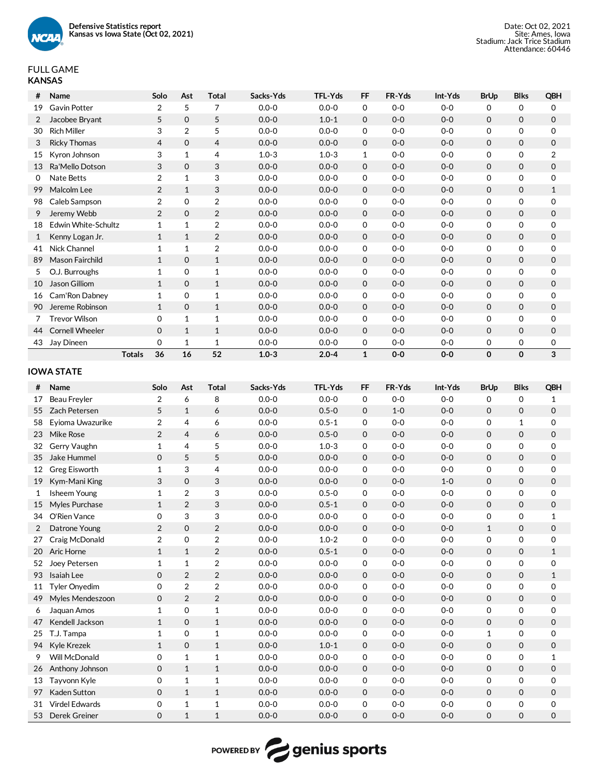

# FULL GAME **KANSAS**

| #  | Name                   |               | Solo           | Ast            | <b>Total</b>   | Sacks-Yds | TFL-Yds   | <b>FF</b>    | FR-Yds  | Int-Yds | <b>BrUp</b> | <b>Blks</b>  | QBH            |
|----|------------------------|---------------|----------------|----------------|----------------|-----------|-----------|--------------|---------|---------|-------------|--------------|----------------|
| 19 | Gavin Potter           |               | $\overline{2}$ | 5              | 7              | $0.0 - 0$ | $0.0 - 0$ | 0            | $0-0$   | $0-0$   | 0           | 0            | $\mathbf 0$    |
| 2  | Jacobee Bryant         |               | 5              | $\Omega$       | 5              | $0.0 - 0$ | $1.0 - 1$ | $\mathbf 0$  | $O-O$   | $0-0$   | $\Omega$    | $\Omega$     | $\mathbf 0$    |
| 30 | <b>Rich Miller</b>     |               | 3              | $\overline{2}$ | 5              | $0.0 - 0$ | $0.0 - 0$ | 0            | $0-0$   | $0-0$   | 0           | 0            | $\mathbf 0$    |
| 3  | <b>Ricky Thomas</b>    |               | $\overline{4}$ | $\Omega$       | 4              | $0.0 - 0$ | $0.0 - 0$ | $\mathbf 0$  | $0 - 0$ | $0-0$   | $\mathbf 0$ | $\mathbf{O}$ | $\mathbf 0$    |
| 15 | Kyron Johnson          |               | 3              | $\mathbf{1}$   | $\overline{4}$ | $1.0 - 3$ | $1.0 - 3$ | $\mathbf{1}$ | $0-0$   | $0 - 0$ | 0           | 0            | $\overline{2}$ |
| 13 | Ra'Mello Dotson        |               | 3              | $\Omega$       | 3              | $0.0 - 0$ | $0.0 - 0$ | $\mathbf 0$  | $0 - 0$ | $0-0$   | $\Omega$    | $\mathbf{O}$ | $\mathbf 0$    |
| 0  | Nate Betts             |               | $\overline{2}$ | $\mathbf{1}$   | 3              | $0.0 - 0$ | $0.0 - 0$ | 0            | $0-0$   | $0-0$   | 0           | 0            | $\mathbf 0$    |
| 99 | Malcolm Lee            |               | $\overline{2}$ | $\mathbf{1}$   | 3              | $0.0 - 0$ | $0.0 - 0$ | $\mathbf 0$  | $0 - 0$ | $0-0$   | 0           | $\mathbf{0}$ | 1              |
| 98 | Caleb Sampson          |               | $\overline{2}$ | $\Omega$       | $\overline{2}$ | $0.0 - 0$ | $0.0 - 0$ | 0            | $0 - 0$ | $0 - 0$ | 0           | 0            | $\mathbf 0$    |
| 9  | Jeremy Webb            |               | 2              | $\Omega$       | $\overline{2}$ | $0.0 - 0$ | $0.0 - 0$ | $\mathbf 0$  | $O-O$   | $0-0$   | $\Omega$    | $\mathbf{O}$ | $\mathbf 0$    |
| 18 | Edwin White-Schultz    |               | 1              | $\mathbf 1$    | 2              | $0.0 - 0$ | $0.0 - 0$ | 0            | $0-0$   | $0-0$   | 0           | 0            | $\mathbf 0$    |
|    | Kenny Logan Jr.        |               | $\mathbf{1}$   | $\mathbf{1}$   | 2              | $0.0 - 0$ | $0.0 - 0$ | 0            | $0 - 0$ | $0 - 0$ | 0           | 0            | $\mathbf 0$    |
| 41 | Nick Channel           |               | 1              | $\mathbf{1}$   | $\overline{2}$ | $0.0 - 0$ | $0.0 - 0$ | 0            | $0-0$   | $0 - 0$ | 0           | 0            | $\mathbf 0$    |
| 89 | Mason Fairchild        |               | $\mathbf{1}$   | $\Omega$       | $\mathbf{1}$   | $0.0 - 0$ | $0.0 - 0$ | $\mathbf 0$  | $0 - 0$ | $0 - 0$ | 0           | $\mathbf{O}$ | $\mathbf 0$    |
| 5  | O.J. Burroughs         |               | 1              | 0              | $\mathbf 1$    | $0.0 - 0$ | $0.0 - 0$ | 0            | $0-0$   | $0-0$   | 0           | 0            | $\mathbf 0$    |
| 10 | Jason Gilliom          |               | $\mathbf{1}$   | $\mathbf 0$    | $\mathbf{1}$   | $0.0 - 0$ | $0.0 - 0$ | $\mathbf 0$  | $0 - 0$ | $0-0$   | 0           | $\mathbf{0}$ | $\mathbf 0$    |
| 16 | Cam'Ron Dabney         |               | 1              | $\Omega$       | $\mathbf 1$    | $0.0 - 0$ | $0.0 - 0$ | 0            | $0-0$   | $0-0$   | 0           | 0            | $\mathbf 0$    |
| 90 | Jereme Robinson        |               | $\mathbf{1}$   | $\mathbf 0$    | $\mathbf{1}$   | $0.0 - 0$ | $0.0 - 0$ | $\mathbf 0$  | $0-0$   | $0-0$   | 0           | $\mathbf{0}$ | $\mathbf 0$    |
|    | <b>Trevor Wilson</b>   |               | 0              | $\mathbf{1}$   | 1              | $0.0 - 0$ | $0.0 - 0$ | 0            | $0-0$   | $0 - 0$ | 0           | 0            | $\mathbf 0$    |
| 44 | <b>Cornell Wheeler</b> |               | $\Omega$       | $\mathbf{1}$   | $\mathbf{1}$   | $0.0 - 0$ | $0.0 - 0$ | 0            | $0 - 0$ | $0 - 0$ | $\Omega$    | $\mathbf{O}$ | $\mathbf 0$    |
| 43 | Jay Dineen             |               | 0              | $\mathbf{1}$   | $\mathbf{1}$   | $0.0 - 0$ | $0.0 - 0$ | 0            | $0-0$   | $0 - 0$ | 0           | 0            | 0              |
|    |                        | <b>Totals</b> | 36             | 16             | 52             | $1.0 - 3$ | $2.0 - 4$ | $\mathbf{1}$ | $0 - 0$ | $0-0$   | 0           | 0            | 3              |

# **IOWA STATE**

| #              | Name             | Solo           | Ast            | <b>Total</b>   | Sacks-Yds | <b>TFL-Yds</b> | <b>FF</b>   | FR-Yds  | Int-Yds | <b>BrUp</b>  | <b>Blks</b>  | <b>QBH</b>   |
|----------------|------------------|----------------|----------------|----------------|-----------|----------------|-------------|---------|---------|--------------|--------------|--------------|
| 17             | Beau Freyler     | $\overline{2}$ | 6              | 8              | $0.0 - 0$ | $0.0 - 0$      | $\mathbf 0$ | $0-0$   | $0-0$   | $\Omega$     | 0            | 1            |
| 55             | Zach Petersen    | 5              | $\mathbf{1}$   | 6              | $0.0 - 0$ | $0.5 - 0$      | 0           | $1 - 0$ | $0-0$   | $\mathbf 0$  | $\mathbf{O}$ | $\mathbf 0$  |
| 58             | Eyioma Uwazurike | $\overline{2}$ | $\overline{4}$ | 6              | $0.0 - 0$ | $0.5 - 1$      | $\mathbf 0$ | $0 - 0$ | $0-0$   | $\Omega$     | $\mathbf{1}$ | $\mathbf 0$  |
| 23             | <b>Mike Rose</b> | 2              | $\overline{4}$ | 6              | $0.0 - 0$ | $0.5 - 0$      | 0           | $0 - 0$ | $0-0$   | $\mathbf 0$  | $\mathbf{0}$ | $\mathbf 0$  |
| 32             | Gerry Vaughn     | $\mathbf{1}$   | $\overline{4}$ | 5              | $0.0 - 0$ | $1.0 - 3$      | $\mathbf 0$ | $O-O$   | $0-0$   | $\Omega$     | $\Omega$     | $\mathbf 0$  |
| 35             | Jake Hummel      | $\Omega$       | 5              | 5              | $0.0 - 0$ | $0.0 - 0$      | 0           | $0 - 0$ | $0 - 0$ | $\mathbf 0$  | $\mathbf 0$  | $\mathbf 0$  |
| 12             | Greg Eisworth    | $\mathbf 1$    | 3              | 4              | $0.0 - 0$ | $0.0 - 0$      | $\mathbf 0$ | $O-O$   | $0 - 0$ | $\mathbf 0$  | $\mathbf 0$  | $\mathbf 0$  |
| 19             | Kym-Mani King    | 3              | $\mathbf 0$    | 3              | $0.0 - 0$ | $0.0 - 0$      | $\mathbf 0$ | $0 - 0$ | $1 - 0$ | $\mathbf 0$  | $\mathbf{0}$ | $\mathbf 0$  |
| $\mathbf{1}$   | Isheem Young     | $\mathbf{1}$   | 2              | 3              | $0.0 - 0$ | $0.5 - 0$      | $\mathbf 0$ | $0 - 0$ | $0 - 0$ | $\Omega$     | $\Omega$     | $\mathbf 0$  |
| 15             | Myles Purchase   | $\mathbf{1}$   | 2              | 3              | $0.0 - 0$ | $0.5 - 1$      | $\mathbf 0$ | $0 - 0$ | $0-0$   | $\Omega$     | $\mathbf{0}$ | $\mathbf 0$  |
| 34             | O'Rien Vance     | $\Omega$       | 3              | 3              | $0.0 - 0$ | $0.0 - 0$      | $\mathbf 0$ | $0-0$   | $0-0$   | $\mathbf 0$  | 0            | $\mathbf{1}$ |
| $\overline{2}$ | Datrone Young    | 2              | $\Omega$       | $\overline{2}$ | $0.0 - 0$ | $0.0 - 0$      | $\mathbf 0$ | $0 - 0$ | $0 - 0$ | $\mathbf{1}$ | $\mathbf{O}$ | $\Omega$     |
| 27             | Craig McDonald   | $\overline{2}$ | $\Omega$       | $\overline{2}$ | $0.0 - 0$ | $1.0 - 2$      | 0           | $O-O$   | $0 - 0$ | $\Omega$     | $\Omega$     | $\Omega$     |
| 20             | Aric Horne       | $\mathbf{1}$   | $\mathbf{1}$   | $\overline{2}$ | $0.0 - 0$ | $0.5 - 1$      | $\mathbf 0$ | $0 - 0$ | $0-0$   | $\Omega$     | $\mathbf 0$  | $\mathbf{1}$ |
| 52             | Joey Petersen    | $\mathbf{1}$   | $\mathbf{1}$   | $\overline{2}$ | $0.0 - 0$ | $0.0 - 0$      | 0           | $0 - 0$ | $0 - 0$ | $\Omega$     | 0            | $\mathbf 0$  |
| 93             | Isaiah Lee       | $\Omega$       | 2              | 2              | $0.0 - 0$ | $0.0 - 0$      | 0           | $0 - 0$ | $O-O$   | $\Omega$     | $\mathbf{O}$ | $\mathbf{1}$ |
| 11             | Tyler Onyedim    | $\Omega$       | $\overline{2}$ | $\overline{2}$ | $0.0 - 0$ | $0.0 - 0$      | $\mathbf 0$ | $0-0$   | $0-0$   | $\Omega$     | $\Omega$     | $\mathbf 0$  |
| 49             | Myles Mendeszoon | $\mathbf 0$    | 2              | 2              | $0.0 - 0$ | $0.0 - 0$      | 0           | $0 - 0$ | $0 - 0$ | $\mathbf 0$  | $\mathbf 0$  | $\mathbf 0$  |
| 6              | Jaquan Amos      | $\mathbf{1}$   | $\Omega$       | $\mathbf 1$    | $0.0 - 0$ | $0.0 - 0$      | $\mathbf 0$ | $0 - 0$ | $0 - 0$ | $\Omega$     | $\Omega$     | $\Omega$     |
| 47             | Kendell Jackson  | $\mathbf{1}$   | $\Omega$       | $\mathbf{1}$   | $0.0 - 0$ | $0.0 - 0$      | 0           | $0 - 0$ | $0 - 0$ | $\Omega$     | $\mathbf{O}$ | $\mathbf 0$  |
| 25             | T.J. Tampa       | $\mathbf{1}$   | $\Omega$       | $\mathbf{1}$   | $0.0 - 0$ | $0.0 - 0$      | $\mathbf 0$ | $0 - 0$ | $0 - 0$ | $\mathbf{1}$ | 0            | $\mathbf 0$  |
| 94             | Kyle Krezek      | $\mathbf{1}$   | $\Omega$       | $\mathbf{1}$   | $0.0 - 0$ | $1.0 - 1$      | 0           | $O-O$   | $0 - 0$ | $\mathbf 0$  | $\mathbf 0$  | $\mathbf 0$  |
| 9              | Will McDonald    | $\Omega$       | $\mathbf{1}$   | $\mathbf{1}$   | $0.0 - 0$ | $0.0 - 0$      | $\Omega$    | $O-O$   | $0 - 0$ | $\Omega$     | $\Omega$     | $\mathbf{1}$ |
| 26             | Anthony Johnson  | $\Omega$       | $\mathbf{1}$   | $\mathbf{1}$   | $0.0 - 0$ | $0.0 - 0$      | $\mathbf 0$ | $0 - 0$ | $0 - 0$ | $\Omega$     | $\mathbf{O}$ | $\mathbf 0$  |
| 13             | Tayvonn Kyle     | $\Omega$       | $\mathbf{1}$   | $\mathbf{1}$   | $0.0 - 0$ | $0.0 - 0$      | $\mathbf 0$ | $0 - 0$ | $0 - 0$ | $\mathbf 0$  | $\mathbf 0$  | $\mathbf 0$  |
| 97             | Kaden Sutton     | $\Omega$       | $\mathbf{1}$   | $\mathbf{1}$   | $0.0 - 0$ | $0.0 - 0$      | $\mathbf 0$ | $0 - 0$ | $0-0$   | $\Omega$     | $\mathbf{O}$ | $\mathbf 0$  |
| 31             | Virdel Edwards   | 0              | $\mathbf{1}$   | $\mathbf{1}$   | $0.0 - 0$ | $0.0 - 0$      | $\mathbf 0$ | $0 - 0$ | $0 - 0$ | $\Omega$     | $\Omega$     | $\Omega$     |
| 53             | Derek Greiner    | $\Omega$       | $\mathbf{1}$   | $\mathbf{1}$   | $0.0 - 0$ | $0.0 - 0$      | $\Omega$    | $0 - 0$ | $0 - 0$ | $\Omega$     | $\Omega$     | $\Omega$     |

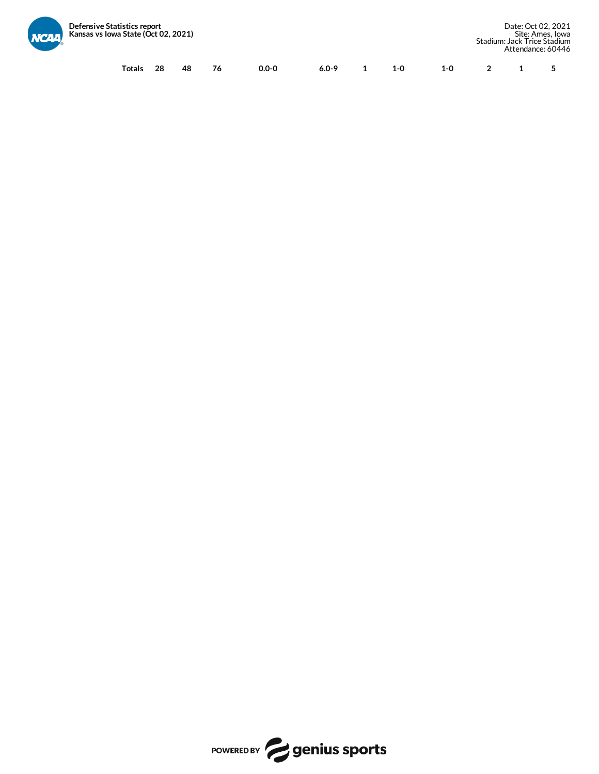

| <b>atistics report</b><br><i>v</i> a State (Óct 02, 2021) |    |    |    |           |           |         |         |  | Date: Oct 02, 2021<br>Site: Ames. Iowa<br>Stadium: Jack Trice Stadium<br>Attendance: 60446 |
|-----------------------------------------------------------|----|----|----|-----------|-----------|---------|---------|--|--------------------------------------------------------------------------------------------|
| Totals                                                    | 28 | 48 | 76 | $0.0 - 0$ | $6.0 - 9$ | $1 - 0$ | $1 - 0$ |  |                                                                                            |

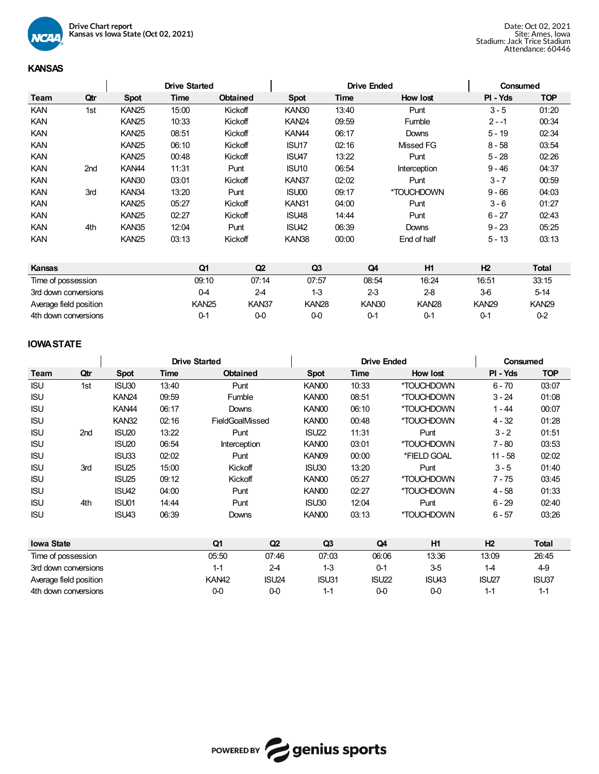

# **KANSAS**

|             |     | <b>Drive Started</b> |       |                 |                   | <b>Drive Ended</b> |              | Consumed |            |  |
|-------------|-----|----------------------|-------|-----------------|-------------------|--------------------|--------------|----------|------------|--|
| <b>Team</b> | Qtr | <b>Spot</b>          | Time  | <b>Obtained</b> | <b>Spot</b>       | Time               | How lost     | PI - Yds | <b>TOP</b> |  |
| <b>KAN</b>  | 1st | <b>KAN25</b>         | 15:00 | Kickoff         | KAN30             | 13:40              | Punt         | $3 - 5$  | 01:20      |  |
| <b>KAN</b>  |     | KAN <sub>25</sub>    | 10:33 | Kickoff         | KAN <sub>24</sub> | 09:59              | Fumble       | $2 - 1$  | 00:34      |  |
| <b>KAN</b>  |     | <b>KAN25</b>         | 08:51 | Kickoff         | KAN <sub>44</sub> | 06:17              | Downs        | $5 - 19$ | 02:34      |  |
| <b>KAN</b>  |     | <b>KAN25</b>         | 06:10 | Kickoff         | ISU <sub>17</sub> | 02:16              | Missed FG    | $8 - 58$ | 03:54      |  |
| <b>KAN</b>  |     | <b>KAN25</b>         | 00:48 | Kickoff         | ISU47             | 13:22              | Punt         | $5 - 28$ | 02:26      |  |
| <b>KAN</b>  | 2nd | KAN <sub>44</sub>    | 11:31 | Punt            | ISU <sub>10</sub> | 06:54              | Interception | $9 - 46$ | 04:37      |  |
| <b>KAN</b>  |     | KAN30                | 03:01 | Kickoff         | KAN37             | 02:02              | Punt         | $3 - 7$  | 00:59      |  |
| <b>KAN</b>  | 3rd | KAN34                | 13:20 | Punt            | ISU00             | 09:17              | *TOUCHDOWN   | $9 - 66$ | 04:03      |  |
| <b>KAN</b>  |     | <b>KAN25</b>         | 05:27 | Kickoff         | KAN31             | 04:00              | Punt         | $3 - 6$  | 01:27      |  |
| <b>KAN</b>  |     | <b>KAN25</b>         | 02:27 | Kickoff         | ISU48             | 14:44              | Punt         | $6 - 27$ | 02:43      |  |
| <b>KAN</b>  | 4th | KAN35                | 12:04 | Punt            | ISU42             | 06:39              | Downs        | $9 - 23$ | 05:25      |  |
| <b>KAN</b>  |     | <b>KAN25</b>         | 03:13 | Kickoff         | KAN38             | 00:00              | End of half  | $5 - 13$ | 03:13      |  |

| <b>Kansas</b>          | Q1           | Q2    | Q3           | Q4                | H1           | H <sub>2</sub> | <b>Total</b> |
|------------------------|--------------|-------|--------------|-------------------|--------------|----------------|--------------|
| Time of possession     | 09:10        | 07:14 | 07:57        | 08:54             | 16:24        | 16:51          | 33:15        |
| 3rd down conversions   | 0-4          | 2-4   | $1-3$        | $2-3$             | $2-8$        | $3-6$          | $5-14$       |
| Average field position | <b>KAN25</b> | KAN37 | <b>KAN28</b> | KAN <sub>30</sub> | <b>KAN28</b> | <b>KAN29</b>   | <b>KAN29</b> |
| 4th down conversions   | 0-1          | 0-0   | 00           | $0 - 1$           | 0-1          | 0-1            | $0-2$        |

# **IOWASTATE**

|                   |                        |                   |       | <b>Drive Started</b> |                   |                | <b>Drive Ended</b> |             | Consumed          |              |  |  |
|-------------------|------------------------|-------------------|-------|----------------------|-------------------|----------------|--------------------|-------------|-------------------|--------------|--|--|
| Team              | Qtr                    | <b>Spot</b>       | Time  | <b>Obtained</b>      |                   | <b>Spot</b>    | Time               | How lost    | PI - Yds          | <b>TOP</b>   |  |  |
| <b>ISU</b>        | 1st                    | ISU30             | 13:40 | Punt                 |                   | KAN00          | 10:33              | *TOUCHDOWN  | $6 - 70$          | 03:07        |  |  |
| <b>ISU</b>        |                        | <b>KAN24</b>      | 09:59 | Fumble               |                   | KAN00          | 08:51              | *TOUCHDOWN  | $3 - 24$          | 01:08        |  |  |
| <b>ISU</b>        |                        | KAN <sub>44</sub> | 06:17 | Downs                |                   | KAN00          | 06:10              | *TOUCHDOWN  | $1 - 44$          | 00:07        |  |  |
| <b>ISU</b>        |                        | <b>KAN32</b>      | 02:16 | FieldGoalMissed      |                   | KAN00          | 00:48              | *TOUCHDOWN  | 4 - 32            | 01:28        |  |  |
| <b>ISU</b>        | 2nd                    | ISU <sub>20</sub> | 13:22 | Punt                 |                   | <b>ISU22</b>   | 11:31              | Punt        | $3 - 2$           | 01:51        |  |  |
| <b>ISU</b>        |                        | ISU <sub>20</sub> | 06:54 | Interception         |                   | KAN00          | 03:01              | *TOUCHDOWN  | $7 - 80$          | 03:53        |  |  |
| <b>ISU</b>        |                        | ISU33             | 02:02 | Punt                 |                   | KAN09          | 00:00              | *FIELD GOAL | $11 - 58$         | 02:02        |  |  |
| <b>ISU</b>        | 3rd                    | ISU <sub>25</sub> | 15:00 | Kickoff              |                   | ISU30          | 13:20              | Punt        | $3 - 5$           | 01:40        |  |  |
| <b>ISU</b>        |                        | ISU <sub>25</sub> | 09:12 | Kickoff              |                   | KAN00          | 05:27              | *TOUCHDOWN  | $7 - 75$          | 03:45        |  |  |
| <b>ISU</b>        |                        | <b>ISU42</b>      | 04:00 | Punt                 |                   | KAN00          | 02:27              | *TOUCHDOWN  | $4 - 58$          | 01:33        |  |  |
| <b>ISU</b>        | 4th                    | ISU01             | 14:44 | Punt                 |                   | ISU30          | 12:04              | Punt        | $6 - 29$          | 02:40        |  |  |
| <b>ISU</b>        |                        | ISU43             | 06:39 | Downs                |                   | KAN00          | 03:13              | *TOUCHDOWN  | $6 - 57$          | 03:26        |  |  |
| <b>Iowa State</b> |                        |                   |       | Q1                   | Q2                | Q <sub>3</sub> | Q4                 | H1          | H <sub>2</sub>    | <b>Total</b> |  |  |
|                   | Time of possession     |                   |       | 05:50                | 07:46             | 07:03          | 06:06              | 13:36       | 13:09             | 26:45        |  |  |
|                   | 3rd down conversions   |                   |       | $1 - 1$              | $2-4$             | $1-3$          | $0 - 1$            | $3-5$       | $1 - 4$           | 4-9          |  |  |
|                   | Average field position |                   |       | KAN <sub>42</sub>    | ISU <sub>24</sub> | ISU31          | <b>ISU22</b>       | ISU43       | ISU <sub>27</sub> | <b>ISU37</b> |  |  |
|                   | 4th down conversions   |                   |       | $0-0$                | $0 - 0$           | $1 - 1$        | $0 - 0$            | $0-0$       | $1 - 1$           | $1 - 1$      |  |  |

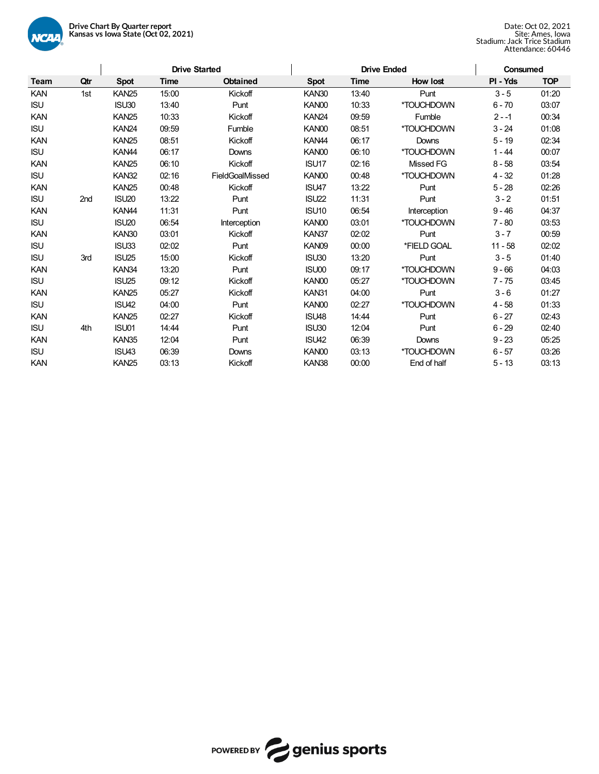

|             |     |                   |       | <b>Drive Started</b> |                   | <b>Drive Ended</b> |                  | Consumed  |            |  |
|-------------|-----|-------------------|-------|----------------------|-------------------|--------------------|------------------|-----------|------------|--|
| <b>Team</b> | Qtr | <b>Spot</b>       | Time  | <b>Obtained</b>      | <b>Spot</b>       | <b>Time</b>        | How lost         | PI - Yds  | <b>TOP</b> |  |
| KAN         | 1st | KAN <sub>25</sub> | 15:00 | Kickoff              | KAN30             | 13:40              | Punt             | $3 - 5$   | 01:20      |  |
| <b>ISU</b>  |     | ISU30             | 13:40 | Punt                 | KAN00             | 10:33              | *TOUCHDOWN       | $6 - 70$  | 03:07      |  |
| <b>KAN</b>  |     | <b>KAN25</b>      | 10:33 | Kickoff              | <b>KAN24</b>      | 09:59              | Fumble           | $2 - -1$  | 00:34      |  |
| <b>ISU</b>  |     | <b>KAN24</b>      | 09:59 | Fumble               | KAN00             | 08:51              | *TOUCHDOWN       | $3 - 24$  | 01:08      |  |
| <b>KAN</b>  |     | <b>KAN25</b>      | 08:51 | Kickoff              | KAN <sub>44</sub> | 06:17              | Downs            | $5 - 19$  | 02:34      |  |
| <b>ISU</b>  |     | KAN <sub>44</sub> | 06:17 | Downs                | KAN00             | 06:10              | *TOUCHDOWN       | $1 - 44$  | 00:07      |  |
| <b>KAN</b>  |     | KAN <sub>25</sub> | 06:10 | Kickoff              | ISU17             | 02:16              | <b>Missed FG</b> | $8 - 58$  | 03:54      |  |
| <b>ISU</b>  |     | <b>KAN32</b>      | 02:16 | FieldGoalMissed      | KAN00             | 00:48              | *TOUCHDOWN       | $4 - 32$  | 01:28      |  |
| <b>KAN</b>  |     | KAN <sub>25</sub> | 00:48 | Kickoff              | ISU47             | 13:22              | Punt             | $5 - 28$  | 02:26      |  |
| <b>ISU</b>  | 2nd | ISU <sub>20</sub> | 13:22 | Punt                 | <b>ISU22</b>      | 11:31              | Punt             | $3 - 2$   | 01:51      |  |
| <b>KAN</b>  |     | KAN <sub>44</sub> | 11:31 | Punt                 | ISU <sub>10</sub> | 06:54              | Interception     | $9 - 46$  | 04:37      |  |
| <b>ISU</b>  |     | ISU <sub>20</sub> | 06:54 | Interception         | KAN00             | 03:01              | *TOUCHDOWN       | $7 - 80$  | 03:53      |  |
| <b>KAN</b>  |     | KAN30             | 03:01 | Kickoff              | KAN37             | 02:02              | Punt             | $3 - 7$   | 00:59      |  |
| <b>ISU</b>  |     | ISU33             | 02:02 | Punt                 | KAN09             | 00:00              | *FIELD GOAL      | $11 - 58$ | 02:02      |  |
| <b>ISU</b>  | 3rd | ISU <sub>25</sub> | 15:00 | Kickoff              | ISU30             | 13:20              | Punt             | $3 - 5$   | 01:40      |  |
| <b>KAN</b>  |     | KAN34             | 13:20 | Punt                 | ISU00             | 09:17              | *TOUCHDOWN       | $9 - 66$  | 04:03      |  |
| <b>ISU</b>  |     | ISU25             | 09:12 | Kickoff              | KAN00             | 05:27              | *TOUCHDOWN       | $7 - 75$  | 03:45      |  |
| <b>KAN</b>  |     | <b>KAN25</b>      | 05:27 | Kickoff              | KAN31             | 04:00              | Punt             | $3 - 6$   | 01:27      |  |
| <b>ISU</b>  |     | ISU42             | 04:00 | Punt                 | KAN00             | 02:27              | *TOUCHDOWN       | $4 - 58$  | 01:33      |  |
| <b>KAN</b>  |     | <b>KAN25</b>      | 02:27 | Kickoff              | ISU48             | 14:44              | Punt             | $6 - 27$  | 02:43      |  |
| <b>ISU</b>  | 4th | ISU01             | 14:44 | Punt                 | ISU30             | 12:04              | Punt             | $6 - 29$  | 02:40      |  |
| <b>KAN</b>  |     | KAN35             | 12:04 | Punt                 | ISU42             | 06:39              | Downs            | $9 - 23$  | 05:25      |  |
| <b>ISU</b>  |     | ISU43             | 06:39 | Downs                | KAN00             | 03:13              | *TOUCHDOWN       | $6 - 57$  | 03:26      |  |
| <b>KAN</b>  |     | <b>KAN25</b>      | 03:13 | Kickoff              | KAN38             | 00:00              | End of half      | $5 - 13$  | 03:13      |  |

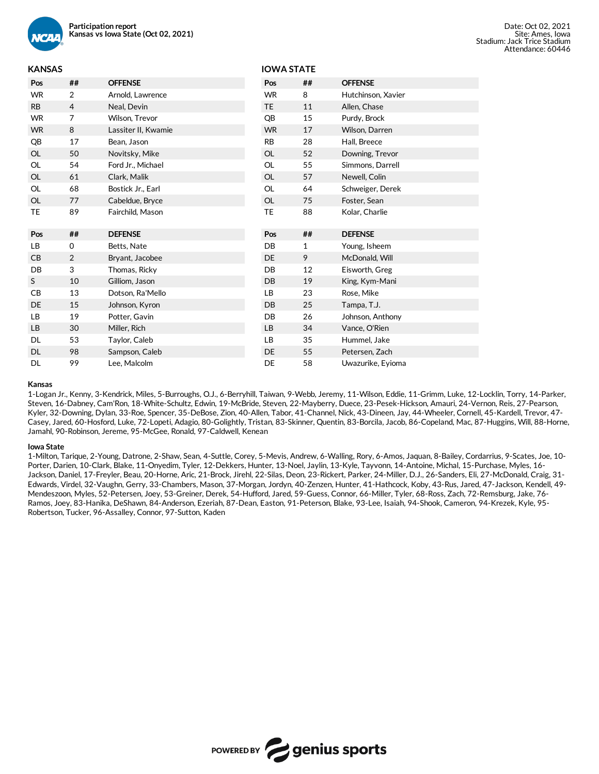

## **KANSAS**

| <b>KANSAS</b> |                |                     | <b>IOWA STATE</b> |    |                    |
|---------------|----------------|---------------------|-------------------|----|--------------------|
| Pos           | ##             | <b>OFFENSE</b>      | Pos               | ## | <b>OFFENSE</b>     |
| <b>WR</b>     | $\overline{2}$ | Arnold, Lawrence    | <b>WR</b>         | 8  | Hutchinson, Xavier |
| <b>RB</b>     | 4              | Neal, Devin         | <b>TE</b>         | 11 | Allen, Chase       |
| <b>WR</b>     | 7              | Wilson, Trevor      | QB                | 15 | Purdy, Brock       |
| <b>WR</b>     | 8              | Lassiter II, Kwamie | <b>WR</b>         | 17 | Wilson, Darren     |
| QB            | 17             | Bean, Jason         | <b>RB</b>         | 28 | Hall, Breece       |
| OL            | 50             | Novitsky, Mike      | <b>OL</b>         | 52 | Downing, Trevor    |
| OL            | 54             | Ford Jr., Michael   | OL                | 55 | Simmons, Darrell   |
| <b>OL</b>     | 61             | Clark, Malik        | OL                | 57 | Newell, Colin      |
| OL            | 68             | Bostick Jr., Earl   | <b>OL</b>         | 64 | Schweiger, Derek   |
| OL            | 77             | Cabeldue, Bryce     | <b>OL</b>         | 75 | Foster, Sean       |
| TE            | 89             | Fairchild, Mason    | <b>TE</b>         | 88 | Kolar, Charlie     |
|               |                |                     | Pos               | ## | <b>DEFENSE</b>     |
| Pos           | ##             | <b>DEFENSE</b>      |                   |    |                    |
|               |                |                     |                   |    |                    |
| LB            | 0              | Betts, Nate         | DB                | 1  | Young, Isheem      |
| CB            | $\overline{2}$ | Bryant, Jacobee     | DE                | 9  | McDonald, Will     |
| DB            | 3              | Thomas, Ricky       | DB                | 12 | Eisworth, Greg     |
| S             | 10             | Gilliom, Jason      | <b>DB</b>         | 19 | King, Kym-Mani     |
| CB            | 13             | Dotson, Ra'Mello    | LВ                | 23 | Rose, Mike         |
| DE            | 15             | Johnson, Kyron      | DB                | 25 | Tampa, T.J.        |
| LB            | 19             | Potter, Gavin       | DB                | 26 | Johnson, Anthony   |
| LB            | 30             | Miller, Rich        | LB                | 34 | Vance, O'Rien      |
| DL            | 53             | Taylor, Caleb       | LВ                | 35 | Hummel, Jake       |
| <b>DL</b>     | 98             | Sampson, Caleb      | <b>DE</b>         | 55 | Petersen, Zach     |

#### **Kansas**

1-Logan Jr., Kenny, 3-Kendrick, Miles, 5-Burroughs, O.J., 6-Berryhill, Taiwan, 9-Webb, Jeremy, 11-Wilson, Eddie, 11-Grimm, Luke, 12-Locklin, Torry, 14-Parker, Steven, 16-Dabney, Cam'Ron, 18-White-Schultz, Edwin, 19-McBride, Steven, 22-Mayberry, Duece, 23-Pesek-Hickson, Amauri, 24-Vernon, Reis, 27-Pearson, Kyler, 32-Downing, Dylan, 33-Roe, Spencer, 35-DeBose, Zion, 40-Allen, Tabor, 41-Channel, Nick, 43-Dineen, Jay, 44-Wheeler, Cornell, 45-Kardell, Trevor, 47- Casey, Jared, 60-Hosford, Luke, 72-Lopeti, Adagio, 80-Golightly, Tristan, 83-Skinner, Quentin, 83-Borcila, Jacob, 86-Copeland, Mac, 87-Huggins, Will, 88-Horne, Jamahl, 90-Robinson, Jereme, 95-McGee, Ronald, 97-Caldwell, Kenean

#### **Iowa State**

1-Milton, Tarique, 2-Young, Datrone, 2-Shaw, Sean, 4-Suttle, Corey, 5-Mevis, Andrew, 6-Walling, Rory, 6-Amos, Jaquan, 8-Bailey, Cordarrius, 9-Scates, Joe, 10- Porter, Darien, 10-Clark, Blake, 11-Onyedim, Tyler, 12-Dekkers, Hunter, 13-Noel, Jaylin, 13-Kyle, Tayvonn, 14-Antoine, Michal, 15-Purchase, Myles, 16- Jackson, Daniel, 17-Freyler, Beau, 20-Horne, Aric, 21-Brock, Jirehl, 22-Silas, Deon, 23-Rickert, Parker, 24-Miller, D.J., 26-Sanders, Eli, 27-McDonald, Craig, 31- Edwards, Virdel, 32-Vaughn, Gerry, 33-Chambers, Mason, 37-Morgan, Jordyn, 40-Zenzen, Hunter, 41-Hathcock, Koby, 43-Rus, Jared, 47-Jackson, Kendell, 49- Mendeszoon, Myles, 52-Petersen, Joey, 53-Greiner, Derek, 54-Hufford, Jared, 59-Guess, Connor, 66-Miller, Tyler, 68-Ross, Zach, 72-Remsburg, Jake, 76- Ramos, Joey, 83-Hanika, DeShawn, 84-Anderson, Ezeriah, 87-Dean, Easton, 91-Peterson, Blake, 93-Lee, Isaiah, 94-Shook, Cameron, 94-Krezek, Kyle, 95- Robertson, Tucker, 96-Assalley, Connor, 97-Sutton, Kaden

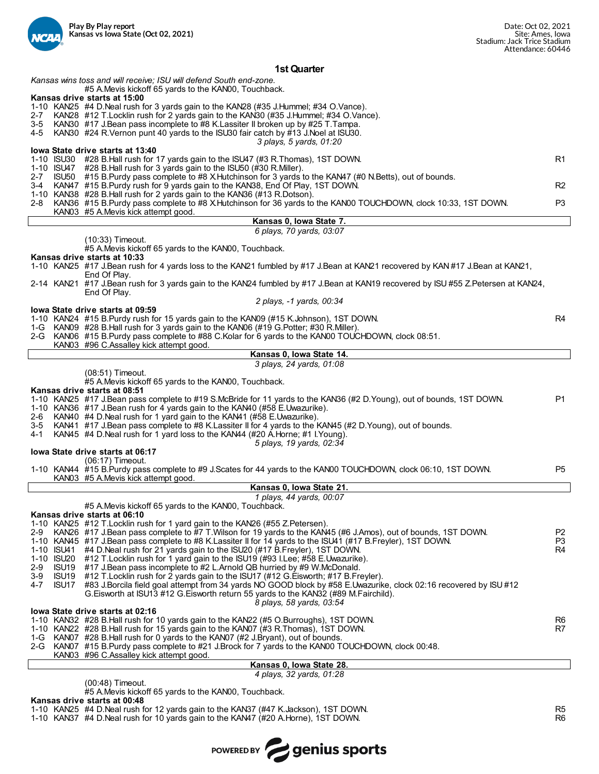

#### **1st Quarter**

*Kansas wins toss and will receive; ISU will defend South end-zone.* #5 A.Mevis kickoff 65 yards to the KAN00, Touchback.

## **Kansas drive starts at 15:00**

- 
- 1-10 KAN25 #4 D.Neal rush for 3 yards gain to the KAN28 (#35 J.Hummel; #34 O.Vance).
- 2-7 KAN28 #12 T.Locklin rush for 2 yards gain to the KAN30 (#35 J.Hummel; #34 O.Vance).<br>3-5 KAN30 #17 J.Bean pass incomplete to #8 K.Lassiter II broken up by #25 T.Tampa. 3-5 KAN30 #17 J.Bean pass incomplete to #8 K.Lassiter II broken up by #25 T.Tampa.
- KAN30 #24 R.Vernon punt 40 yards to the ISU30 fair catch by #13 J.Noel at ISU30.
	- *3 plays, 5 yards, 01:20*

#### **Iowa State drive starts at 13:40** 1-10 ISU30 #28 B.Hall rush for 17 yards gain to the ISU47 (#3 R.Thomas), 1ST DOWN.<br>1-10 ISU47 #28 B.Hall rush for 3 yards gain to the ISU50 (#30 R.Miller). 1-10 ISU47 #28 B.Hall rush for 3 yards gain to the ISU50 (#30 R.Miller). 2-7 ISU50 #15 B.Purdy pass complete to #8 X.Hutchinson for 3 yards to the KAN47 (#0 N.Betts), out of bounds.<br>3-4 KAN47 #15 B.Purdy rush for 9 yards gain to the KAN38 Fod Of Play 1ST DOWN. 3-4 KAN47 #15 B.Purdy rush for 9 yards gain to the KAN38, End Of Play, 1ST DOWN. R2 1-10 KAN38 #28 B.Hall rush for 2 yards gain to the KAN36 (#13 R.Dotson). 2-8 KAN36 #15 B.Purdy pass complete to #8 X.Hutchinson for 36 yards to the KAN00 TOUCHDOWN, clock 10:33, 1ST DOWN. P3

- KAN03 #5 A.Mevis kick attempt good. **Kansas 0, Iowa State 7.** *6 plays, 70 yards, 03:07* (10:33) Timeout. #5 A.Mevis kickoff 65 yards to the KAN00, Touchback. **Kansas drive starts at 10:33** 1-10 KAN25 #17 J.Bean rush for 4 yards loss to the KAN21 fumbled by #17 J.Bean at KAN21 recovered by KAN #17 J.Bean at KAN21, End Of Play. 2-14 KAN21 #17 J.Bean rush for 3 yards gain to the KAN24 fumbled by #17 J.Bean at KAN19 recovered by ISU #55 Z.Petersen at KAN24, End Of Play. *2 plays, -1 yards, 00:34* **Iowa State drive starts at 09:59** 1-10 KAN24 #15 B.Purdy rush for 15 yards gain to the KAN09 (#15 K.Johnson), 1ST DOWN.<br>1-G KAN09 #28 B.Hall rush for 3 yards gain to the KAN06 (#19 G.Potter: #30 R.Miller). 1-G KAN09 #28 B.Hall rush for 3 yards gain to the KAN06 (#19 G.Potter; #30 R.Miller). KAN06 #15 B.Purdy pass complete to #88 C.Kolar for 6 yards to the KAN00 TOUCHDOWN, clock 08:51. KAN03 #96 C.Assalley kick attempt good. **Kansas 0, Iowa State 14.** *3 plays, 24 yards, 01:08* (08:51) Timeout. #5 A.Mevis kickoff 65 yards to the KAN00, Touchback. **Kansas drive starts at 08:51** 1-10 KAN25 #17 J.Bean pass complete to #19 S.McBride for 11 yards to the KAN36 (#2 D.Young), out of bounds, 1ST DOWN. P1 1-10 KAN36 #17 J.Bean rush for 4 yards gain to the KAN40 (#58 E.Uwazurike). 2-6 KAN40 #4 D.Neal rush for 1 yard gain to the KAN41 (#58 E.Uwazurike). KAN41 #17 J.Bean pass complete to #8 K.Lassiter II for 4 yards to the KAN45 (#2 D.Young), out of bounds. 4-1 KAN45 #4 D.Neal rush for 1 yard loss to the KAN44 (#20 A.Horne; #1 I.Young). *5 plays, 19 yards, 02:34* **Iowa State drive starts at 06:17** (06:17) Timeout. 1-10 KAN44 #15 B.Purdy pass complete to #9 J.Scates for 44 yards to the KAN00 TOUCHDOWN, clock 06:10, 1ST DOWN. P5 KAN03 #5 A.Mevis kick attempt good. **Kansas 0, Iowa State 21.** *1 plays, 44 yards, 00:07* #5 A.Mevis kickoff 65 yards to the KAN00, Touchback. **Kansas drive starts at 06:10** 1-10 KAN25 #12 T.Locklin rush for 1 yard gain to the KAN26 (#55 Z.Petersen). KAN26 #17 J.Bean pass complete to #7 T.Wilson for 19 yards to the KAN45 (#6 J.Amos), out of bounds, 1ST DOWN.<br>KAN45 #17 J.Bean pass complete to #8 K.Lassiter II for 14 yards to the ISU41 (#17 B.Freyler), 1ST DOWN. 1-10 KAN45 #17 J.Bean pass complete to #8 K.Lassiter II for 14 yards to the ISU41 (#17 B.Freyler), 1ST DOWN.<br>1-10 ISU41 #4 D.Neal rush for 21 yards gain to the ISU20 (#17 B.Freyler), 1ST DOWN. 1-10 ISU41 #4 D.Neal rush for 21 yards gain to the ISU20 (#17 B.Freyler), 1ST DOWN.<br>1-10 ISU20 #12 T.Locklin rush for 1 vard gain to the ISU19 (#93 I.Lee: #58 E.Uwazurike 1-10 ISU20 #12 T.Locklin rush for 1 yard gain to the ISU19 (#93 I.Lee; #58 E.Uwazurike). 2-9 ISU19 #17 J.Bean pass incomplete to #2 L.Arnold QB hurried by #9 W.McDonald.<br>3-9 ISU19 #12 T.Locklin rush for 2 vards gain to the ISU17 (#12 G. Fisworth: #17 B.Fre 3-9 ISU19 #12 T.Locklin rush for 2 yards gain to the ISU17 (#12 G.Eisworth; #17 B.Freyler). #83 J.Borcila field goal attempt from 34 yards NO GOOD block by #58 E.Uwazurike, clock 02:16 recovered by ISU #12 G.Eisworth at ISU13 #12 G.Eisworth return 55 yards to the KAN32 (#89 M.Fairchild). *8 plays, 58 yards, 03:54* **Iowa State drive starts at 02:16** 1-10 KAN32 #28 B.Hall rush for 10 yards gain to the KAN22 (#5 O.Burroughs), 1ST DOWN.<br>1-10 KAN22 #28 B.Hall rush for 15 yards gain to the KAN07 (#3 R.Thomas), 1ST DOWN. 1-10 KAN22 #28 B.Hall rush for 15 yards gain to the KAN07  $(H3)$  R.Thomas), 1ST DOWN.<br>1-G KAN07 #28 B.Hall rush for 0 yards to the KAN07 (#2 J.Brvant), out of bounds. 1-G KAN07 #28 B.Hall rush for 0 yards to the KAN07 (#2 J.Bryant), out of bounds.
- KAN07 #15 B.Purdy pass complete to #21 J.Brock for 7 yards to the KAN00 TOUCHDOWN, clock 00:48.
	- KAN03 #96 C.Assalley kick attempt good.

#### **Kansas 0, Iowa State 28.** *4 plays, 32 yards, 01:28*

(00:48) Timeout.

#5 A.Mevis kickoff 65 yards to the KAN00, Touchback.

**Kansas drive starts at 00:48**

1-10 KAN25 #4 D.Neal rush for 12 yards gain to the KAN37 (#47 K.Jackson), 1ST DOWN.<br>1-10 KAN37 #4 D.Neal rush for 10 vards gain to the KAN47 (#20 A Horne) 1ST DOWN.

1-10 KAN37 #4 D.Neal rush for 10 yards gain to the KAN47 (#20 A.Horne), 1ST DOWN.

POWERED BY genius sports

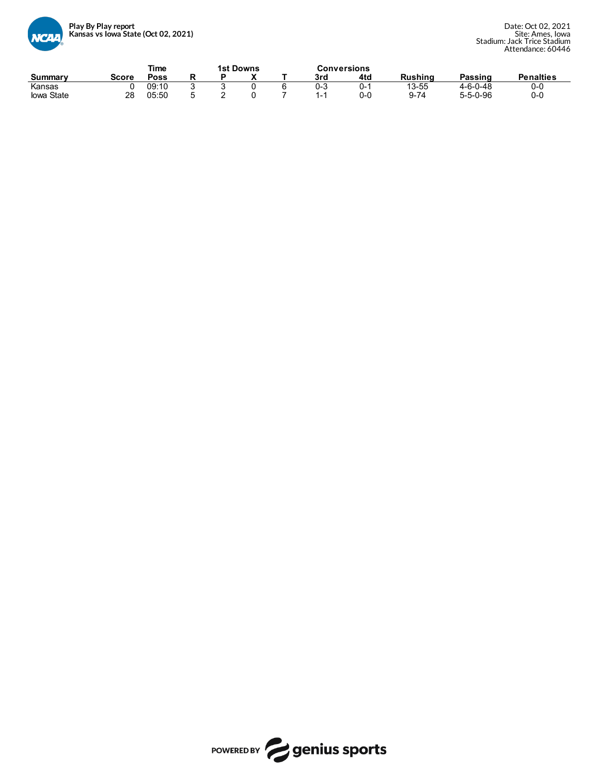

|                |       | Time        |  | <b>1st Downs</b> |     | <b>Conversions</b> |                |                  |                  |
|----------------|-------|-------------|--|------------------|-----|--------------------|----------------|------------------|------------------|
| <b>Summary</b> | Score | <b>Poss</b> |  | `                | 3rd | 4td                | <b>Rushing</b> | Passing          | <b>Penalties</b> |
| Kansas         |       | 09:10       |  |                  | 0-3 | O-                 | 13-55          | $4 - 6 - 0 - 48$ | 0-0              |
| lowa State     | 28    | 05:50       |  |                  | ۰.  | 0-0                | $Q - 74$       | $5 - 5 - 0 - 96$ | 0-C              |

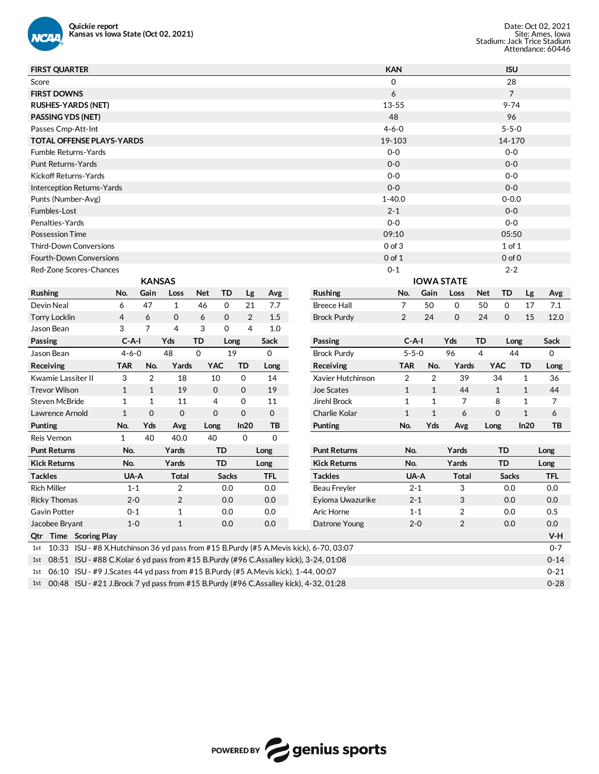

| <b>FIRST QUARTER</b>                                                                          |              |                |              |             |              |                       |                     | <b>KAN</b>     |                |                         |            | <b>ISU</b>     |              |            |
|-----------------------------------------------------------------------------------------------|--------------|----------------|--------------|-------------|--------------|-----------------------|---------------------|----------------|----------------|-------------------------|------------|----------------|--------------|------------|
| Score                                                                                         |              |                |              |             |              |                       |                     | 0              |                |                         |            | 28             |              |            |
| <b>FIRST DOWNS</b>                                                                            |              |                |              |             |              |                       |                     | 6              |                |                         |            | $\overline{7}$ |              |            |
| <b>RUSHES-YARDS (NET)</b>                                                                     |              |                |              |             |              |                       |                     | 13-55          |                |                         |            | $9 - 74$       |              |            |
| <b>PASSING YDS (NET)</b>                                                                      |              |                |              |             |              |                       |                     | 48             |                |                         |            | 96             |              |            |
| Passes Cmp-Att-Int                                                                            |              |                |              |             |              |                       |                     | $4 - 6 - 0$    |                |                         |            | $5 - 5 - 0$    |              |            |
| <b>TOTAL OFFENSE PLAYS-YARDS</b>                                                              |              |                |              |             |              |                       |                     | 19-103         |                |                         |            | 14-170         |              |            |
| <b>Fumble Returns-Yards</b>                                                                   |              |                |              |             |              |                       |                     | $0-0$          |                |                         |            | $0-0$          |              |            |
| Punt Returns-Yards                                                                            |              |                |              |             |              |                       |                     | $0-0$          |                |                         |            | $0-0$          |              |            |
| Kickoff Returns-Yards                                                                         |              |                |              |             |              |                       |                     | $0-0$          |                |                         |            | $0-0$          |              |            |
| Interception Returns-Yards                                                                    |              |                |              |             |              |                       |                     | $0-0$          |                |                         |            | $0-0$          |              |            |
| Punts (Number-Avg)                                                                            |              |                |              |             |              |                       |                     | $1 - 40.0$     |                |                         |            | $0 - 0.0$      |              |            |
| Fumbles-Lost                                                                                  |              |                |              |             |              |                       |                     | $2 - 1$        |                |                         |            | $0-0$          |              |            |
| Penalties-Yards                                                                               |              |                |              |             |              |                       |                     | $0-0$          |                |                         |            | $0-0$          |              |            |
| <b>Possession Time</b>                                                                        |              |                |              |             |              |                       |                     | 09:10          |                |                         |            | 05:50          |              |            |
| <b>Third-Down Conversions</b>                                                                 |              |                |              |             |              |                       |                     | $0$ of $3$     |                |                         |            | $1$ of $1$     |              |            |
| <b>Fourth-Down Conversions</b>                                                                |              |                |              |             |              |                       |                     | $0$ of $1$     |                |                         |            | $0$ of $0$     |              |            |
| Red-Zone Scores-Chances                                                                       |              |                |              |             |              |                       |                     | $0 - 1$        |                |                         |            | $2 - 2$        |              |            |
|                                                                                               |              | <b>KANSAS</b>  |              |             |              |                       |                     |                |                | <b>IOWA STATE</b>       |            |                |              |            |
| Rushing                                                                                       | No.          | Gain           | Loss         | <b>Net</b>  | TD           | Avg<br>Lg             | Rushing             | No.            | Gain           | Loss                    | <b>Net</b> | <b>TD</b>      | Lg           | Avg        |
| Devin Neal                                                                                    | 6            | 47             | $\mathbf{1}$ | 46          | 0            | 21<br>7.7             | <b>Breece Hall</b>  | 7              | 50             | 0                       | 50         | 0              | 17           | 7.1        |
| <b>Torry Locklin</b>                                                                          | 4            | 6              | 0            | 6           | 0            | $\overline{2}$<br>1.5 | <b>Brock Purdy</b>  | 2              | 24             | 0                       | 24         | $\mathbf 0$    | 15           | 12.0       |
| Jason Bean                                                                                    | 3            | 7              | 4            | 3           | 0            | $\overline{4}$<br>1.0 |                     |                |                |                         |            |                |              |            |
| <b>Passing</b>                                                                                | $C-A-I$      |                | Yds          | TD          | Long         | Sack                  | Passing             | $C-A-I$        |                | Yds                     | TD         | Long           |              | Sack       |
| Jason Bean                                                                                    | $4 - 6 - 0$  |                | 48           | $\Omega$    | 19           | 0                     | <b>Brock Purdy</b>  | $5 - 5 - 0$    |                | 96                      | 4          | 44             |              | 0          |
| Receiving                                                                                     | <b>TAR</b>   | No.            | Yards        | <b>YAC</b>  | TD           | Long                  | Receiving           | <b>TAR</b>     | No.            | Yards                   |            | YAC            | TD           | Long       |
| Kwamie Lassiter II                                                                            | 3            | $\overline{2}$ | 18           | 10          | 0            | 14                    | Xavier Hutchinson   | $\overline{2}$ | $\overline{2}$ | 39                      |            | 34             | $\mathbf{1}$ | 36         |
| <b>Trevor Wilson</b>                                                                          | $\mathbf{1}$ | $\mathbf{1}$   | 19           | $\mathbf 0$ | $\mathbf 0$  | 19                    | Joe Scates          | $\mathbf{1}$   | $\mathbf{1}$   | 44                      |            | $\mathbf{1}$   | $\mathbf{1}$ | 44         |
| <b>Steven McBride</b>                                                                         | $\mathbf{1}$ | 1              | 11           | 4           | 0            | 11                    | <b>Jirehl Brock</b> | $\mathbf{1}$   | $\mathbf{1}$   | 7                       |            | 8              | 1            | 7          |
| Lawrence Arnold                                                                               | $\mathbf{1}$ | $\mathbf 0$    | $\mathbf 0$  | $\Omega$    | $\mathbf 0$  | 0                     | Charlie Kolar       | $\mathbf{1}$   | $\mathbf{1}$   | 6                       |            | $\mathbf 0$    | $\mathbf{1}$ | 6          |
| Punting                                                                                       | No.          | Yds            | Avg          | Long        | In20         | TВ                    | <b>Punting</b>      | No.            | Yds            | Avg                     | Long       |                | In20         | ТB         |
| Reis Vernon                                                                                   | $\mathbf{1}$ | 40             | 40.0         | 40          | $\mathbf 0$  | $\mathbf 0$           |                     |                |                |                         |            |                |              |            |
| <b>Punt Returns</b>                                                                           | No.          |                | Yards        |             | TD           | Long                  | <b>Punt Returns</b> | No.            |                | Yards                   |            | TD             |              | Long       |
| <b>Kick Returns</b>                                                                           | No.          |                | Yards        |             | <b>TD</b>    | Long                  | <b>Kick Returns</b> | No.            |                | Yards                   |            | <b>TD</b>      |              | Long       |
| <b>Tackles</b>                                                                                | UA-A         |                | <b>Total</b> |             | <b>Sacks</b> | <b>TFL</b>            | <b>Tackles</b>      |                | UA-A           | <b>Total</b>            |            | <b>Sacks</b>   |              | <b>TFL</b> |
| <b>Rich Miller</b>                                                                            | $1 - 1$      |                | 2            |             | 0.0          | 0.0                   | Beau Freyler        | $2 - 1$        |                | 3                       |            | 0.0            |              | 0.0        |
| <b>Ricky Thomas</b>                                                                           | $2 - 0$      |                | 2            |             | 0.0          | 0.0                   | Eyioma Uwazurike    | $2 - 1$        |                | 3                       |            | 0.0            |              | 0.0        |
| Gavin Potter                                                                                  | $0 - 1$      |                | $\mathbf 1$  |             | $0.0\,$      | 0.0                   | Aric Horne          | $1 - 1$        |                | $\overline{\mathbf{c}}$ |            | $0.0\,$        |              | $0.5\,$    |
| Jacobee Bryant                                                                                | $1-0$        |                | $\mathbf{1}$ |             | 0.0          | $0.0\,$               | Datrone Young       | $2 - 0$        |                | 2                       |            | 0.0            |              | 0.0        |
| Qtr Time Scoring Play                                                                         |              |                |              |             |              |                       |                     |                |                |                         |            |                |              | $V-H$      |
| 10:33 ISU - #8 X.Hutchinson 36 yd pass from #15 B.Purdy (#5 A.Mevis kick), 6-70, 03:07<br>1st |              |                |              |             |              |                       |                     |                |                |                         |            |                |              | $0 - 7$    |
| 08:51 ISU - #88 C.Kolar 6 yd pass from #15 B.Purdy (#96 C.Assalley kick), 3-24, 01:08<br>1st  |              |                |              |             |              |                       |                     |                |                |                         |            |                |              | $0 - 14$   |
| 06:10 ISU - #9 J.Scates 44 yd pass from #15 B.Purdy (#5 A.Mevis kick), 1-44, 00:07<br>1st     |              |                |              |             |              |                       |                     |                |                |                         |            |                |              | $0 - 21$   |
| 00:48 ISU - #21 J.Brock 7 yd pass from #15 B.Purdy (#96 C.Assalley kick), 4-32, 01:28<br>1st  |              |                |              |             |              |                       |                     |                |                |                         |            |                |              | $0 - 28$   |

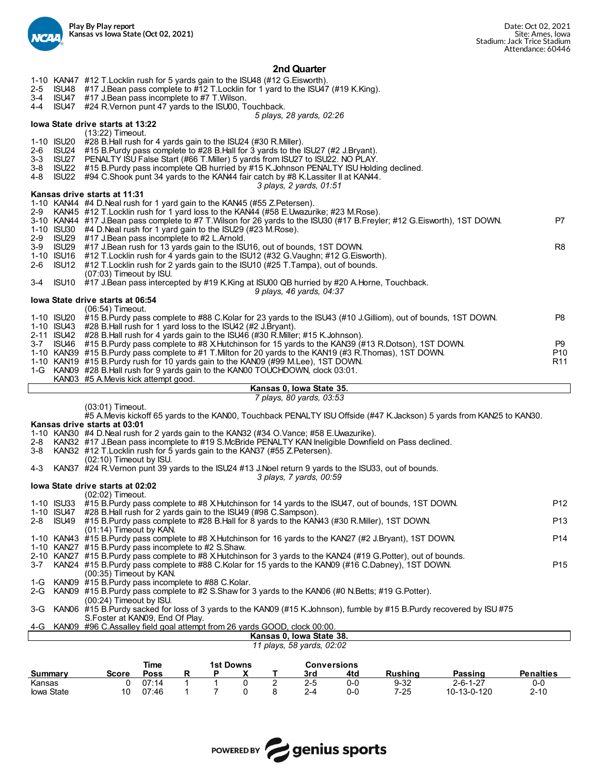

# **2nd Quarter**

| $2 - 5$<br>3-4<br>4-4        | ISU48                                 | 1-10 KAN47 #12 T. Locklin rush for 5 yards gain to the ISU48 (#12 G. Eisworth).<br>#17 J.Bean pass complete to #12 T.Locklin for 1 yard to the ISU47 (#19 K.King).<br>ISU47 #17 J.Bean pass incomplete to #7 T.Wilson.<br>ISU47 #24 R. Vernon punt 47 yards to the ISU00, Touchback.                                                                                                                                                                                                    |                                          |
|------------------------------|---------------------------------------|-----------------------------------------------------------------------------------------------------------------------------------------------------------------------------------------------------------------------------------------------------------------------------------------------------------------------------------------------------------------------------------------------------------------------------------------------------------------------------------------|------------------------------------------|
|                              |                                       | 5 plays, 28 yards, 02:26<br>lowa State drive starts at 13:22                                                                                                                                                                                                                                                                                                                                                                                                                            |                                          |
| 2-6<br>$3 - 3$<br>3-8<br>4-8 | 1-10 ISU20<br>ISU24<br>ISU27<br>ISU22 | (13:22) Timeout.<br>#28 B.Hall rush for 4 yards gain to the ISU24 (#30 R.Miller).<br>#15 B.Purdy pass complete to #28 B.Hall for 3 yards to the ISU27 (#2 J.Bryant).<br>PENALTY ISU False Start (#66 T.Miller) 5 yards from ISU27 to ISU22. NO PLAY.<br>ISU22 #15 B.Purdy pass incomplete QB hurried by #15 K.Johnson PENALTY ISU Holding declined.<br>#94 C.Shook punt 34 yards to the KAN44 fair catch by #8 K.Lassiter II at KAN44.<br>3 plays, 2 yards, 01:51                       |                                          |
|                              |                                       | Kansas drive starts at 11:31                                                                                                                                                                                                                                                                                                                                                                                                                                                            |                                          |
|                              |                                       | 1-10 KAN44 #4 D. Neal rush for 1 yard gain to the KAN45 (#55 Z. Petersen).<br>2-9 KAN45 #12 T. Locklin rush for 1 yard loss to the KAN44 (#58 E. Uwazurike; #23 M. Rose).<br>3-10 KAN44 #17 J.Bean pass complete to #7 T.Wilson for 26 yards to the ISU30 (#17 B.Freyler; #12 G.Eisworth), 1ST DOWN.<br>1-10 ISU30 #4 D. Neal rush for 1 yard gain to the ISU29 (#23 M. Rose).                                                                                                          | P7                                       |
| 2-9<br>3-9<br>2-6            | ISU29<br>ISU29<br>1-10 ISU16<br>ISU12 | #17 J.Bean pass incomplete to #2 L.Arnold.<br>#17 J.Bean rush for 13 yards gain to the ISU16, out of bounds, 1ST DOWN.<br>#12 T.Locklin rush for 4 yards gain to the ISU12 (#32 G.Vaughn; #12 G.Eisworth).<br>#12 T. Locklin rush for 2 yards gain to the ISU10 (#25 T. Tampa), out of bounds.                                                                                                                                                                                          | R8                                       |
| 3-4                          |                                       | (07:03) Timeout by ISU.<br>ISU10 #17 J.Bean pass intercepted by #19 K.King at ISU00 QB hurried by #20 A.Horne, Touchback.                                                                                                                                                                                                                                                                                                                                                               |                                          |
|                              |                                       | 9 plays, 46 yards, 04:37<br>lowa State drive starts at 06:54                                                                                                                                                                                                                                                                                                                                                                                                                            |                                          |
|                              | 1-10 ISU20<br>1-10 ISU43              | (06:54) Timeout.<br>#15 B.Purdy pass complete to #88 C.Kolar for 23 yards to the ISU43 (#10 J.Gilliom), out of bounds, 1ST DOWN.<br>#28 B.Hall rush for 1 yard loss to the ISU42 (#2 J.Bryant).                                                                                                                                                                                                                                                                                         | P8                                       |
|                              |                                       | 2-11 ISU42 #28 B.Hall rush for 4 yards gain to the ISU46 (#30 R.Miller; #15 K.Johnson).<br>3-7 ISU46 #15 B.Purdy pass complete to #8 X.Hutchinson for 15 yards to the KAN39 (#13 R.Dotson), 1ST DOWN.<br>1-10 KAN39 #15 B.Purdy pass complete to #1 T.Milton for 20 yards to the KAN19 (#3 R.Thomas), 1ST DOWN.<br>1-10 KAN19 #15 B.Purdy rush for 10 yards gain to the KAN09 (#99 M.Lee), 1ST DOWN.<br>1-G KAN09 #28 B.Hall rush for 9 yards gain to the KAN00 TOUCHDOWN, clock 03:01. | P9<br>P <sub>10</sub><br>R <sub>11</sub> |
|                              |                                       | KAN03 #5 A.Mevis kick attempt good.<br>Kansas 0, Iowa State 35.                                                                                                                                                                                                                                                                                                                                                                                                                         |                                          |
|                              |                                       | 7 plays, 80 yards, 03:53                                                                                                                                                                                                                                                                                                                                                                                                                                                                |                                          |
|                              |                                       | (03:01) Timeout.<br>#5 A.Mevis kickoff 65 yards to the KAN00, Touchback PENALTY ISU Offside (#47 K.Jackson) 5 yards from KAN25 to KAN30.                                                                                                                                                                                                                                                                                                                                                |                                          |
|                              |                                       | Kansas drive starts at 03:01<br>1-10 KAN30 #4 D.Neal rush for 2 yards gain to the KAN32 (#34 O.Vance; #58 E.Uwazurike).                                                                                                                                                                                                                                                                                                                                                                 |                                          |
| 2-8<br>3-8                   |                                       | KAN32 #17 J.Bean pass incomplete to #19 S.McBride PENALTY KAN Ineligible Downfield on Pass declined.<br>KAN32 #12 T. Locklin rush for 5 yards gain to the KAN37 (#55 Z. Petersen).<br>(02:10) Timeout by ISU.                                                                                                                                                                                                                                                                           |                                          |
| 4-3                          |                                       | KAN37 #24 R. Vernon punt 39 yards to the ISU24 #13 J. Noel return 9 yards to the ISU33, out of bounds.<br>3 plays, 7 yards, 00:59                                                                                                                                                                                                                                                                                                                                                       |                                          |
|                              |                                       | lowa State drive starts at 02:02<br>(02:02) Timeout.                                                                                                                                                                                                                                                                                                                                                                                                                                    |                                          |
|                              |                                       | 1-10 ISU33 #15 B. Purdy pass complete to #8 X. Hutchinson for 14 yards to the ISU47, out of bounds, 1ST DOWN.                                                                                                                                                                                                                                                                                                                                                                           | P <sub>12</sub>                          |
| $2 - 8$                      | 1-10 ISU47<br>ISU49                   | #28 B.Hall rush for 2 yards gain to the ISU49 (#98 C.Sampson).<br>#15 B.Purdy pass complete to #28 B.Hall for 8 yards to the KAN43 (#30 R.Miller), 1ST DOWN.                                                                                                                                                                                                                                                                                                                            | P <sub>13</sub>                          |
|                              |                                       | (01:14) Timeout by KAN.<br>1-10 KAN43 #15 B.Purdy pass complete to #8 X.Hutchinson for 16 yards to the KAN27 (#2 J.Bryant), 1ST DOWN.                                                                                                                                                                                                                                                                                                                                                   | P14                                      |
|                              |                                       | 1-10 KAN27 #15 B.Purdy pass incomplete to #2 S.Shaw.<br>2-10 KAN27 #15 B.Purdy pass complete to #8 X.Hutchinson for 3 yards to the KAN24 (#19 G.Potter), out of bounds.                                                                                                                                                                                                                                                                                                                 |                                          |
| $3 - 7$                      |                                       | KAN24 #15 B.Purdy pass complete to #88 C.Kolar for 15 yards to the KAN09 (#16 C.Dabney), 1ST DOWN.<br>(00:35) Timeout by KAN.                                                                                                                                                                                                                                                                                                                                                           | P <sub>15</sub>                          |
| 1-G                          |                                       | KAN09 #15 B. Purdy pass incomplete to #88 C. Kolar.                                                                                                                                                                                                                                                                                                                                                                                                                                     |                                          |
| 2-G                          |                                       | KAN09 #15 B.Purdy pass complete to #2 S.Shaw for 3 yards to the KAN06 (#0 N.Betts; #19 G.Potter).<br>(00:24) Timeout by ISU.                                                                                                                                                                                                                                                                                                                                                            |                                          |
| 3-G                          |                                       | KAN06 #15 B.Purdy sacked for loss of 3 yards to the KAN09 (#15 K.Johnson), fumble by #15 B.Purdy recovered by ISU #75<br>S. Foster at KAN09, End Of Play.                                                                                                                                                                                                                                                                                                                               |                                          |
| 4-G                          |                                       | KAN09 #96 C.Assalley field goal attempt from 26 yards GOOD, clock 00:00.<br>Kansas 0. Iowa State 38.                                                                                                                                                                                                                                                                                                                                                                                    |                                          |
|                              |                                       | 11 plays, 58 yards, 02:02                                                                                                                                                                                                                                                                                                                                                                                                                                                               |                                          |
|                              |                                       | <b>Time</b><br><b>1st Downs</b><br><b>Conversions</b>                                                                                                                                                                                                                                                                                                                                                                                                                                   |                                          |
| <b>Summary</b><br>Kansas     |                                       | <b>Poss</b><br>P<br><b>Rushing</b><br>Passing<br><b>Penalties</b><br>Score<br>R<br>X<br>т<br>3rd<br>4td<br>$\overline{2}$<br>07:14<br>$\mathbf{1}$<br>0<br>$2 - 5$<br>$9 - 32$<br>$2 - 6 - 1 - 27$<br>1<br>0-0<br>0-0<br>0                                                                                                                                                                                                                                                              |                                          |



Iowa State 10 07:46 1 7 0 8 2-4 0-0 7-25 10-13-0-120 2-10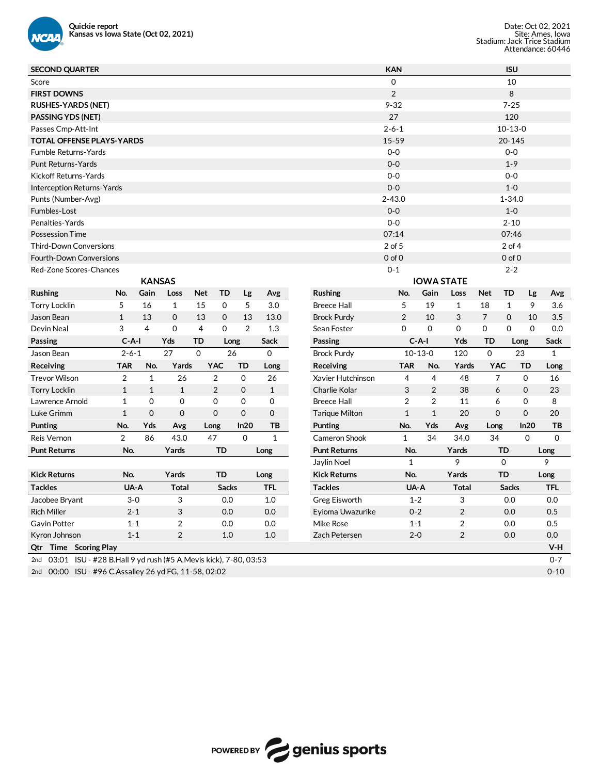

| <b>SECOND QUARTER</b>                                                  |                |                |              |                |                     |              |                       | <b>KAN</b>     |                |                   |                | <b>ISU</b>   |             |              |
|------------------------------------------------------------------------|----------------|----------------|--------------|----------------|---------------------|--------------|-----------------------|----------------|----------------|-------------------|----------------|--------------|-------------|--------------|
| Score                                                                  |                |                |              |                |                     |              |                       | 0              |                |                   |                | 10           |             |              |
| <b>FIRST DOWNS</b>                                                     |                |                |              |                |                     |              |                       | $\overline{2}$ |                |                   |                | 8            |             |              |
| <b>RUSHES-YARDS (NET)</b>                                              |                |                |              |                |                     |              |                       | $9 - 32$       |                |                   |                | $7 - 25$     |             |              |
| <b>PASSING YDS (NET)</b>                                               |                |                |              |                |                     |              |                       | 27             |                |                   |                | 120          |             |              |
| Passes Cmp-Att-Int                                                     |                |                |              |                |                     |              |                       | $2 - 6 - 1$    |                |                   |                | $10-13-0$    |             |              |
| <b>TOTAL OFFENSE PLAYS-YARDS</b>                                       |                |                |              |                |                     |              |                       | $15 - 59$      |                |                   |                | 20-145       |             |              |
| <b>Fumble Returns-Yards</b>                                            |                |                |              |                |                     |              |                       | $0 - 0$        |                |                   |                | $0-0$        |             |              |
| Punt Returns-Yards                                                     |                |                |              |                |                     |              |                       | $0 - 0$        |                |                   |                | $1 - 9$      |             |              |
| Kickoff Returns-Yards                                                  |                |                |              |                |                     |              |                       | $0 - 0$        |                |                   |                | $0 - 0$      |             |              |
| Interception Returns-Yards                                             |                |                |              |                |                     |              |                       | $0-0$          |                |                   |                | $1 - 0$      |             |              |
| Punts (Number-Avg)                                                     |                |                |              |                |                     |              |                       | $2 - 43.0$     |                |                   |                | $1 - 34.0$   |             |              |
| Fumbles-Lost                                                           |                |                |              |                |                     |              |                       | $0 - 0$        |                |                   |                | $1 - 0$      |             |              |
| Penalties-Yards                                                        |                |                |              |                |                     |              |                       | $0 - 0$        |                |                   |                | $2 - 10$     |             |              |
| <b>Possession Time</b>                                                 |                |                |              |                |                     |              |                       | 07:14          |                |                   |                | 07:46        |             |              |
| <b>Third-Down Conversions</b>                                          |                |                |              |                |                     |              |                       | 2 of 5         |                |                   |                | $2$ of 4     |             |              |
| <b>Fourth-Down Conversions</b>                                         |                |                |              |                |                     |              |                       | $0$ of $0$     |                |                   |                | $0$ of $0$   |             |              |
| Red-Zone Scores-Chances                                                |                |                |              |                |                     |              |                       | $0 - 1$        |                |                   |                | $2 - 2$      |             |              |
|                                                                        |                | <b>KANSAS</b>  |              |                |                     |              |                       |                |                | <b>IOWA STATE</b> |                |              |             |              |
| Rushing                                                                | No.            | Gain           | Loss         | <b>Net</b>     | <b>TD</b><br>Lg     | Avg          | Rushing               | No.            | Gain           | Loss              | <b>Net</b>     | <b>TD</b>    | Lg          | Avg          |
| <b>Torry Locklin</b>                                                   | 5              | 16             | $\mathbf{1}$ | 15             | 5<br>0              | 3.0          | <b>Breece Hall</b>    | 5              | 19             | 1                 | 18             | $\mathbf{1}$ | 9           | 3.6          |
| Jason Bean                                                             | $\mathbf{1}$   | 13             | $\mathbf 0$  | 13             | 13<br>0             | 13.0         | <b>Brock Purdy</b>    | 2              | 10             | 3                 | $\overline{7}$ | $\mathbf 0$  | 10          | 3.5          |
| Devin Neal                                                             | 3              | $\overline{4}$ | $\mathbf 0$  | $\overline{4}$ | 2<br>0              | 1.3          | Sean Foster           | 0              | 0              | 0                 | $\Omega$       | 0            | $\Omega$    | 0.0          |
| Passing                                                                | $C-A-I$        |                | Yds          | TD             | Long                | Sack         | Passing               | $C-A-I$        |                | Yds               | TD             |              | Long        | Sack         |
| Jason Bean                                                             | $2 - 6 - 1$    |                | 27           | $\Omega$       | 26                  | $\mathbf 0$  | <b>Brock Purdy</b>    | $10 - 13 - 0$  |                | 120               | $\mathbf 0$    |              | 23          | $\mathbf{1}$ |
| Receiving                                                              | <b>TAR</b>     | No.            | Yards        | <b>YAC</b>     | TD                  | Long         | Receiving             | <b>TAR</b>     | No.            | Yards             | <b>YAC</b>     |              | TD          | Long         |
| <b>Trevor Wilson</b>                                                   | $\overline{c}$ | 1              | 26           | 2              | $\mathbf 0$         | 26           | Xavier Hutchinson     | 4              | 4              | 48                | 7              |              | 0           | 16           |
| <b>Torry Locklin</b>                                                   | $\mathbf{1}$   | $\mathbf{1}$   | $\mathbf{1}$ | 2              | $\mathbf 0$         | $\mathbf{1}$ | Charlie Kolar         | 3              | $\overline{2}$ | 38                | 6              |              | $\mathbf 0$ | 23           |
| Lawrence Arnold                                                        | $\mathbf{1}$   | $\mathbf 0$    | 0            | 0              | $\mathbf 0$         | 0            | <b>Breece Hall</b>    | $\overline{2}$ | $\overline{2}$ | 11                | 6              |              | 0           | 8            |
| Luke Grimm                                                             | $\mathbf{1}$   | $\mathbf 0$    | $\mathbf 0$  | $\mathbf 0$    | $\mathbf 0$         | $\mathbf 0$  | <b>Tarique Milton</b> | $\mathbf{1}$   | $\mathbf{1}$   | 20                | $\mathbf 0$    |              | $\mathbf 0$ | 20           |
| Punting                                                                | No.            | Yds            | Avg          | Long           | In20                | ΤВ           | Punting               | No.            | Yds            | Avg               | Long           |              | In20        | ΤВ           |
| <b>Reis Vernon</b>                                                     | $\overline{2}$ | 86             | 43.0         | 47             | $\mathsf{O}\xspace$ | $\mathbf{1}$ | Cameron Shook         | 1              | 34             | 34.0              | 34             |              | 0           | $\mathbf 0$  |
| <b>Punt Returns</b>                                                    | No.            |                | Yards        | <b>TD</b>      |                     | Long         | <b>Punt Returns</b>   | No.            |                | Yards             |                | TD           |             | Long         |
|                                                                        |                |                |              |                |                     |              | Jaylin Noel           | 1              |                | 9                 |                | 0            |             | 9            |
| <b>Kick Returns</b>                                                    | No.            |                | Yards        | TD             |                     | Long         | <b>Kick Returns</b>   | No.            |                | Yards             |                | TD           |             | Long         |
| <b>Tackles</b>                                                         | UA-A           |                | <b>Total</b> |                | <b>Sacks</b>        | <b>TFL</b>   | <b>Tackles</b>        | UA-A           |                | <b>Total</b>      |                | <b>Sacks</b> |             | <b>TFL</b>   |
| Jacobee Bryant                                                         | $3-0$          |                | 3            |                | 0.0                 | $1.0$        | Greg Eisworth         | $1 - 2$        |                | 3                 |                | $0.0\,$      |             | 0.0          |
| <b>Rich Miller</b>                                                     | $2 - 1$        |                | 3            |                | 0.0                 | 0.0          | Eyioma Uwazurike      | $0 - 2$        |                | $\overline{c}$    |                | 0.0          |             | 0.5          |
| Gavin Potter                                                           | $1 - 1$        |                | 2            |                | 0.0                 | 0.0          | Mike Rose             | $1 - 1$        |                | 2                 |                | 0.0          |             | 0.5          |
| Kyron Johnson                                                          | $1 - 1$        |                | 2            |                | 1.0                 | $1.0$        | Zach Petersen         | $2 - 0$        |                | $\overline{c}$    |                | 0.0          |             | 0.0          |
| Qtr Time Scoring Play                                                  |                |                |              |                |                     |              |                       |                |                |                   |                |              |             | V-H          |
| 03:01 ISU - #28 B.Hall 9 yd rush (#5 A.Mevis kick), 7-80, 03:53<br>2nd |                |                |              |                |                     |              |                       |                |                |                   |                |              |             | $0 - 7$      |
| 2nd 00:00 ISU - #96 C.Assalley 26 yd FG, 11-58, 02:02                  |                |                |              |                |                     |              |                       |                |                |                   |                |              |             | $0 - 10$     |

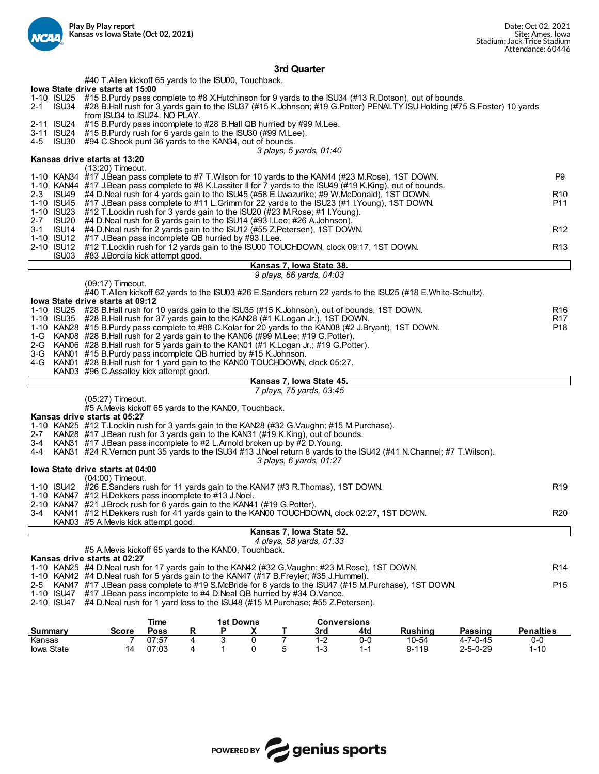

# **3rd Quarter**

|                     |                                                                                                                                                                                                  |                     |   |                       |   | וסו שעומו נכו |                                                      |     |                                                                                                                                                                                                                                                  |                |                        |
|---------------------|--------------------------------------------------------------------------------------------------------------------------------------------------------------------------------------------------|---------------------|---|-----------------------|---|---------------|------------------------------------------------------|-----|--------------------------------------------------------------------------------------------------------------------------------------------------------------------------------------------------------------------------------------------------|----------------|------------------------|
|                     | #40 T.Allen kickoff 65 yards to the ISU00, Touchback.<br>lowa State drive starts at 15:00                                                                                                        |                     |   |                       |   |               |                                                      |     |                                                                                                                                                                                                                                                  |                |                        |
| 2-1                 | from ISU34 to ISU24. NO PLAY.                                                                                                                                                                    |                     |   |                       |   |               |                                                      |     | 1-10 ISU25 #15 B.Purdy pass complete to #8 X.Hutchinson for 9 yards to the ISU34 (#13 R.Dotson), out of bounds.<br>ISU34 #28 B.Hall rush for 3 yards gain to the ISU37 (#15 K.Johnson; #19 G.Potter) PENALTY ISU Holding (#75 S.Foster) 10 yards |                |                        |
| 2-11 ISU24          | #15 B. Purdy pass incomplete to #28 B. Hall QB hurried by #99 M. Lee.<br>3-11 ISU24 #15 B. Purdy rush for 6 yards gain to the ISU30 (#99 M. Lee).                                                |                     |   |                       |   |               |                                                      |     |                                                                                                                                                                                                                                                  |                |                        |
| 4-5                 | ISU30 #94 C.Shook punt 36 yards to the KAN34, out of bounds.                                                                                                                                     |                     |   |                       |   |               | 3 plays, 5 yards, 01:40                              |     |                                                                                                                                                                                                                                                  |                |                        |
|                     | Kansas drive starts at 13:20                                                                                                                                                                     |                     |   |                       |   |               |                                                      |     |                                                                                                                                                                                                                                                  |                |                        |
|                     | (13:20) Timeout.<br>1-10 KAN34 #17 J.Bean pass complete to #7 T. Wilson for 10 yards to the KAN44 (#23 M. Rose), 1ST DOWN.                                                                       |                     |   |                       |   |               |                                                      |     |                                                                                                                                                                                                                                                  |                | P <sub>9</sub>         |
|                     |                                                                                                                                                                                                  |                     |   |                       |   |               |                                                      |     | 1-10 KAN44 #17 J.Bean pass complete to #8 K.Lassiter II for 7 yards to the ISU49 (#19 K.King), out of bounds.                                                                                                                                    |                |                        |
| $2 - 3$<br>ISU49    | #4 D.Neal rush for 4 yards gain to the ISU45 (#58 E.Uwazurike; #9 W.McDonald), 1ST DOWN.<br>1-10 ISU45 #17 J.Bean pass complete to #11 L.Grimm for 22 yards to the ISU23 (#1 I.Young), 1ST DOWN. |                     |   |                       |   |               |                                                      |     |                                                                                                                                                                                                                                                  |                | R <sub>10</sub><br>P11 |
| 1-10 ISU23<br>ISU20 | #12 T. Locklin rush for 3 yards gain to the ISU20 (#23 M. Rose; #1 I. Young).                                                                                                                    |                     |   |                       |   |               |                                                      |     |                                                                                                                                                                                                                                                  |                |                        |
| 2-7<br>ISU14<br>3-1 | #4 D.Neal rush for 6 yards gain to the ISU14 (#93 I.Lee; #26 A.Johnson).<br>#4 D.Neal rush for 2 yards gain to the ISU12 (#55 Z.Petersen), 1ST DOWN.                                             |                     |   |                       |   |               |                                                      |     |                                                                                                                                                                                                                                                  |                | R <sub>12</sub>        |
| 1-10 ISU12          | #17 J.Bean pass incomplete QB hurried by #93 I.Lee.                                                                                                                                              |                     |   |                       |   |               |                                                      |     |                                                                                                                                                                                                                                                  |                |                        |
| 2-10 ISU12          | #12 T.Locklin rush for 12 yards gain to the ISU00 TOUCHDOWN, clock 09:17, 1ST DOWN.<br>ISU03 #83 J.Borcila kick attempt good.                                                                    |                     |   |                       |   |               |                                                      |     |                                                                                                                                                                                                                                                  |                | R <sub>13</sub>        |
|                     |                                                                                                                                                                                                  |                     |   |                       |   |               | Kansas 7, Iowa State 38.                             |     |                                                                                                                                                                                                                                                  |                |                        |
|                     | (09:17) Timeout.                                                                                                                                                                                 |                     |   |                       |   |               | 9 plays, 66 yards, 04:03                             |     |                                                                                                                                                                                                                                                  |                |                        |
|                     |                                                                                                                                                                                                  |                     |   |                       |   |               |                                                      |     | #40 T.Allen kickoff 62 yards to the ISU03 #26 E.Sanders return 22 yards to the ISU25 (#18 E.White-Schultz).                                                                                                                                      |                |                        |
|                     | lowa State drive starts at 09:12<br>1-10 ISU25 #28 B.Hall rush for 10 yards gain to the ISU35 (#15 K.Johnson), out of bounds, 1ST DOWN.                                                          |                     |   |                       |   |               |                                                      |     |                                                                                                                                                                                                                                                  |                | R <sub>16</sub>        |
|                     | 1-10 ISU35 #28 B.Hall rush for 37 yards gain to the KAN28 (#1 K.Logan Jr.), 1ST DOWN.                                                                                                            |                     |   |                       |   |               |                                                      |     |                                                                                                                                                                                                                                                  |                | R <sub>17</sub>        |
|                     | 1-10 KAN28 #15 B.Purdy pass complete to #88 C.Kolar for 20 yards to the KAN08 (#2 J.Bryant), 1ST DOWN.<br>1-G KAN08 #28 B.Hall rush for 2 yards gain to the KAN06 (#99 M.Lee; #19 G.Potter).     |                     |   |                       |   |               |                                                      |     |                                                                                                                                                                                                                                                  |                | P <sub>18</sub>        |
|                     | 2-G KAN06 #28 B.Hall rush for 5 yards gain to the KAN01 (#1 K.Logan Jr.; #19 G.Potter).                                                                                                          |                     |   |                       |   |               |                                                      |     |                                                                                                                                                                                                                                                  |                |                        |
|                     | 3-G KAN01 #15 B.Purdy pass incomplete QB hurried by #15 K.Johnson.<br>4-G KAN01 #28 B.Hall rush for 1 yard gain to the KAN00 TOUCHDOWN, clock 05:27.                                             |                     |   |                       |   |               |                                                      |     |                                                                                                                                                                                                                                                  |                |                        |
|                     | KAN03 #96 C.Assalley kick attempt good.                                                                                                                                                          |                     |   |                       |   |               |                                                      |     |                                                                                                                                                                                                                                                  |                |                        |
|                     |                                                                                                                                                                                                  |                     |   |                       |   |               | Kansas 7, Iowa State 45.<br>7 plays, 75 yards, 03:45 |     |                                                                                                                                                                                                                                                  |                |                        |
|                     | (05:27) Timeout.<br>#5 A. Mevis kickoff 65 yards to the KAN00, Touchback.                                                                                                                        |                     |   |                       |   |               |                                                      |     |                                                                                                                                                                                                                                                  |                |                        |
|                     | Kansas drive starts at 05:27<br>1-10 KAN25 #12 T.Locklin rush for 3 yards gain to the KAN28 (#32 G.Vaughn; #15 M.Purchase).                                                                      |                     |   |                       |   |               |                                                      |     |                                                                                                                                                                                                                                                  |                |                        |
| 2-7                 | KAN28 #17 J.Bean rush for 3 yards gain to the KAN31 (#19 K.King), out of bounds.                                                                                                                 |                     |   |                       |   |               |                                                      |     |                                                                                                                                                                                                                                                  |                |                        |
| 4-4                 | 3-4 KAN31 #17 J.Bean pass incomplete to #2 L.Arnold broken up by #2 D.Young.                                                                                                                     |                     |   |                       |   |               |                                                      |     | KAN31 #24 R.Vernon punt 35 yards to the ISU34 #13 J.Noel return 8 yards to the ISU42 (#41 N.Channel; #7 T.Wilson).                                                                                                                               |                |                        |
|                     | lowa State drive starts at 04:00                                                                                                                                                                 |                     |   |                       |   |               | 3 plays, 6 yards, 01:27                              |     |                                                                                                                                                                                                                                                  |                |                        |
|                     | (04:00) Timeout.                                                                                                                                                                                 |                     |   |                       |   |               |                                                      |     |                                                                                                                                                                                                                                                  |                |                        |
|                     | 1-10 ISU42 #26 E.Sanders rush for 11 yards gain to the KAN47 (#3 R.Thomas), 1ST DOWN.<br>1-10 KAN47 #12 H.Dekkers pass incomplete to #13 J.Noel.                                                 |                     |   |                       |   |               |                                                      |     |                                                                                                                                                                                                                                                  |                | R <sub>19</sub>        |
|                     | 2-10 KAN47 #21 J.Brock rush for 6 yards gain to the KAN41 (#19 G.Potter).                                                                                                                        |                     |   |                       |   |               |                                                      |     |                                                                                                                                                                                                                                                  |                |                        |
| 3-4                 | KAN41 #12 H.Dekkers rush for 41 yards gain to the KAN00 TOUCHDOWN, clock 02:27, 1ST DOWN.<br>KAN03 #5 A. Mevis kick attempt good.                                                                |                     |   |                       |   |               |                                                      |     |                                                                                                                                                                                                                                                  |                | R <sub>20</sub>        |
|                     |                                                                                                                                                                                                  |                     |   |                       |   |               | Kansas 7, Iowa State 52.                             |     |                                                                                                                                                                                                                                                  |                |                        |
|                     | #5 A. Mevis kickoff 65 yards to the KAN00, Touchback.                                                                                                                                            |                     |   |                       |   |               | 4 plays, 58 yards, 01:33                             |     |                                                                                                                                                                                                                                                  |                |                        |
|                     | Kansas drive starts at 02:27                                                                                                                                                                     |                     |   |                       |   |               |                                                      |     |                                                                                                                                                                                                                                                  |                |                        |
|                     | 1-10 KAN25 #4 D.Neal rush for 17 yards gain to the KAN42 (#32 G.Vaughn; #23 M.Rose), 1ST DOWN.<br>1-10 KAN42 #4 D.Neal rush for 5 yards gain to the KAN47 (#17 B.Freyler; #35 J.Hummel).         |                     |   |                       |   |               |                                                      |     |                                                                                                                                                                                                                                                  |                | R <sub>14</sub>        |
| 2-5                 |                                                                                                                                                                                                  |                     |   |                       |   |               |                                                      |     | KAN47 #17 J.Bean pass complete to #19 S.McBride for 6 yards to the ISU47 (#15 M.Purchase), 1ST DOWN.                                                                                                                                             |                | P <sub>15</sub>        |
| 2-10 ISU47          | 1-10 ISU47 #17 J.Bean pass incomplete to #4 D.Neal QB hurried by #34 O.Vance.<br>#4 D. Neal rush for 1 yard loss to the ISU48 (#15 M. Purchase; #55 Z. Petersen).                                |                     |   |                       |   |               |                                                      |     |                                                                                                                                                                                                                                                  |                |                        |
|                     |                                                                                                                                                                                                  |                     |   |                       |   |               |                                                      |     |                                                                                                                                                                                                                                                  |                |                        |
| <b>Summary</b>      | <b>Score</b>                                                                                                                                                                                     | Time<br><b>Poss</b> | R | <b>1st Downs</b><br>P | x | т             | <b>Conversions</b><br>3rd                            | 4td | <b>Rushing</b>                                                                                                                                                                                                                                   | <b>Passing</b> | <b>Penalties</b>       |



Kansas 7 07:57 4 3 0 7 1-2 0-0 10-54 4-7-0-45 0-0 Iowa State 14 07:03 4 1 0 5 1-3 1-1 9-119 2-5-0-29 1-10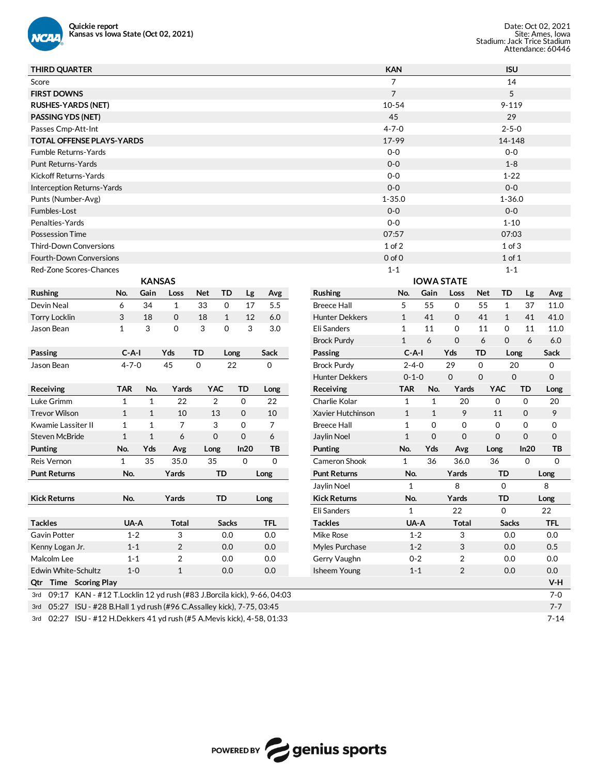

| <b>THIRD QUARTER</b>                                                       |              |               |                |                |                    |            | <b>KAN</b>                            |              |                   |             | <b>ISU</b>   |             |             |
|----------------------------------------------------------------------------|--------------|---------------|----------------|----------------|--------------------|------------|---------------------------------------|--------------|-------------------|-------------|--------------|-------------|-------------|
| Score                                                                      |              |               |                |                |                    |            | 7                                     |              |                   |             | 14           |             |             |
| <b>FIRST DOWNS</b>                                                         |              |               |                |                |                    |            | $\overline{7}$                        |              |                   |             | 5            |             |             |
| <b>RUSHES-YARDS (NET)</b>                                                  |              |               |                |                |                    |            | $10 - 54$                             |              |                   |             | $9 - 119$    |             |             |
| <b>PASSING YDS (NET)</b>                                                   |              |               |                |                |                    |            | 45                                    |              |                   |             | 29           |             |             |
| Passes Cmp-Att-Int                                                         |              |               |                |                |                    |            | $4 - 7 - 0$                           |              |                   |             | $2 - 5 - 0$  |             |             |
| <b>TOTAL OFFENSE PLAYS-YARDS</b>                                           |              |               |                |                |                    |            | 17-99                                 |              |                   |             | 14-148       |             |             |
| <b>Fumble Returns-Yards</b>                                                |              |               |                |                |                    |            | $0-0$                                 |              |                   |             | $0 - 0$      |             |             |
| <b>Punt Returns-Yards</b>                                                  |              |               |                |                |                    |            | $0-0$                                 |              |                   |             | $1 - 8$      |             |             |
| Kickoff Returns-Yards                                                      |              |               |                |                |                    |            | $0-0$                                 |              |                   |             | $1 - 22$     |             |             |
| <b>Interception Returns-Yards</b>                                          |              |               |                |                |                    |            | $0-0$                                 |              |                   |             | $0 - 0$      |             |             |
| Punts (Number-Avg)                                                         |              |               |                |                |                    |            | $1 - 35.0$                            |              |                   |             | $1 - 36.0$   |             |             |
| Fumbles-Lost                                                               |              |               |                |                |                    |            | $0-0$                                 |              |                   |             | $0-0$        |             |             |
| Penalties-Yards                                                            |              |               |                |                |                    |            | $0-0$                                 |              |                   |             | $1 - 10$     |             |             |
| <b>Possession Time</b>                                                     |              |               |                |                |                    |            | 07:57                                 |              |                   |             | 07:03        |             |             |
| <b>Third-Down Conversions</b>                                              |              |               |                |                |                    |            | $1$ of $2$                            |              |                   |             | $1$ of $3$   |             |             |
| <b>Fourth-Down Conversions</b>                                             |              |               |                |                |                    |            |                                       |              |                   |             |              |             |             |
|                                                                            |              |               |                |                |                    |            | $0$ of $0$                            |              |                   |             | $1$ of $1$   |             |             |
| Red-Zone Scores-Chances                                                    |              |               |                |                |                    |            | $1 - 1$                               |              |                   |             | $1 - 1$      |             |             |
|                                                                            |              | <b>KANSAS</b> |                |                |                    |            |                                       |              | <b>IOWA STATE</b> |             |              |             |             |
| Rushing                                                                    | No.          | Gain          | Loss           | <b>Net</b>     | TD<br>Lg           | Avg        | Rushing<br>No.                        | Gain         | Loss              | Net         | TD           | Lg          | Avg         |
| Devin Neal                                                                 | 6            | 34            | $\mathbf{1}$   | 33             | $\mathbf 0$<br>17  | 5.5        | 5<br><b>Breece Hall</b>               | 55           | 0                 | 55          | $\mathbf{1}$ | 37          | 11.0        |
| <b>Torry Locklin</b>                                                       | 3            | 18            | $\mathbf 0$    | 18             | $\mathbf{1}$<br>12 | 6.0        | <b>Hunter Dekkers</b><br>$\mathbf{1}$ | 41           | 0                 | 41          | $\mathbf{1}$ | 41          | 41.0        |
| Jason Bean                                                                 | $\mathbf{1}$ | 3             | 0              | 3              | 0<br>3             | 3.0        | <b>Eli Sanders</b><br>1               | 11           | 0                 | 11          | 0            | 11          | 11.0        |
|                                                                            |              |               |                |                |                    |            | $\mathbf{1}$<br><b>Brock Purdy</b>    | 6            | $\mathbf 0$       | 6           | $\mathbf{0}$ | 6           | 6.0         |
| Passing                                                                    | $C-A-I$      |               | Yds            | TD             | Long               | Sack       | Passing                               | $C-A-I$      | Yds               | TD          | Long         |             | Sack        |
| Jason Bean                                                                 | $4 - 7 - 0$  |               | 45             | 0              | 22                 | 0          | <b>Brock Purdy</b>                    | $2 - 4 - 0$  | 29                | 0           | 20           |             | 0           |
|                                                                            |              |               |                |                |                    |            | <b>Hunter Dekkers</b>                 | $0 - 1 - 0$  | $\mathbf 0$       | $\mathbf 0$ | $\mathbf 0$  |             | $\mathbf 0$ |
| Receiving                                                                  | <b>TAR</b>   | No.           | Yards          | <b>YAC</b>     | TD                 | Long       | TAR<br>Receiving                      | No.          | Yards             |             | <b>YAC</b>   | <b>TD</b>   | Long        |
| Luke Grimm                                                                 | $\mathbf{1}$ | $\mathbf{1}$  | 22             | $\overline{2}$ | $\mathbf 0$        | 22         | Charlie Kolar<br>$\mathbf{1}$         | $\mathbf{1}$ | 20                |             | $\mathbf 0$  | $\mathbf 0$ | 20          |
| <b>Trevor Wilson</b>                                                       | $\mathbf{1}$ | $\mathbf{1}$  | 10             | 13             | 0                  | 10         | $\mathbf{1}$<br>Xavier Hutchinson     | $\mathbf{1}$ | 9                 |             | 11           | 0           | 9           |
| Kwamie Lassiter II                                                         | 1            | 1             | 7              | 3              | 0                  | 7          | <b>Breece Hall</b><br>1               | 0            | 0                 |             | 0            | 0           | 0           |
| <b>Steven McBride</b>                                                      | $\mathbf{1}$ | $\mathbf{1}$  | 6              | $\mathbf 0$    | $\mathbf 0$        | 6          | $\mathbf{1}$<br>Jaylin Noel           | $\mathbf 0$  | 0                 |             | $\mathbf 0$  | $\mathbf 0$ | $\mathbf 0$ |
| Punting                                                                    | No.          | Yds           | Avg            | Long           | In20               | TB         | Punting<br>No.                        | Yds          | Avg               | Long        |              | In20        | ТB          |
| Reis Vernon                                                                | 1            | 35            | 35.0           | 35             | $\mathbf 0$        | 0          | Cameron Shook<br>$\mathbf{1}$         | 36           | 36.0              | 36          |              | $\mathbf 0$ | 0           |
| <b>Punt Returns</b>                                                        | No.          |               | Yards          | TD             |                    | Long       | <b>Punt Returns</b><br>No.            |              | Yards             |             | TD           |             | Long        |
|                                                                            |              |               |                |                |                    |            | Jaylin Noel                           | $\mathbf{1}$ | 8                 |             | $\mathbf 0$  |             | 8           |
| <b>Kick Returns</b>                                                        | No.          |               | Yards          | TD             |                    | Long       | <b>Kick Returns</b><br>No.            |              | Yards             |             | TD           |             | Long        |
|                                                                            |              |               |                |                |                    |            | Eli Sanders                           | $\mathbf{1}$ | 22                |             | 0            |             | 22          |
| <b>Tackles</b>                                                             | UA-A         |               | <b>Total</b>   |                | <b>Sacks</b>       | <b>TFL</b> | <b>Tackles</b>                        | UA-A         | <b>Total</b>      |             | <b>Sacks</b> |             | <b>TFL</b>  |
| Gavin Potter                                                               | $1 - 2$      |               | 3              |                | 0.0                | 0.0        | Mike Rose                             | $1 - 2$      | 3                 |             | 0.0          |             | 0.0         |
| Kenny Logan Jr.                                                            | $1 - 1$      |               | $\overline{c}$ |                | 0.0                | 0.0        | Myles Purchase                        | $1 - 2$      | 3                 |             | 0.0          |             | 0.5         |
| Malcolm Lee                                                                | $1 - 1$      |               | 2              |                | 0.0                | 0.0        | Gerry Vaughn                          | $0 - 2$      | 2                 |             | 0.0          |             | 0.0         |
| Edwin White-Schultz                                                        | $1-0$        |               | $\mathbf{1}$   |                | 0.0                | 0.0        | <b>Isheem Young</b>                   | $1 - 1$      |                   |             | 0.0          |             | 0.0         |
|                                                                            |              |               |                |                |                    |            |                                       |              | $\overline{2}$    |             |              |             |             |
| Qtr Time Scoring Play                                                      |              |               |                |                |                    |            |                                       |              |                   |             |              |             | V-H         |
| 3rd 09:17 KAN - #12 T.Locklin 12 yd rush (#83 J.Borcila kick), 9-66, 04:03 |              |               |                |                |                    |            |                                       |              |                   |             |              |             | $7 - 0$     |
| 3rd 05:27 ISU - #28 B.Hall 1 yd rush (#96 C.Assalley kick), 7-75, 03:45    |              |               |                |                |                    |            |                                       |              |                   |             |              |             | $7 - 7$     |
| 3rd 02:27 ISU - #12 H.Dekkers 41 yd rush (#5 A.Mevis kick), 4-58, 01:33    |              |               |                |                |                    |            |                                       |              |                   |             |              |             | $7 - 14$    |

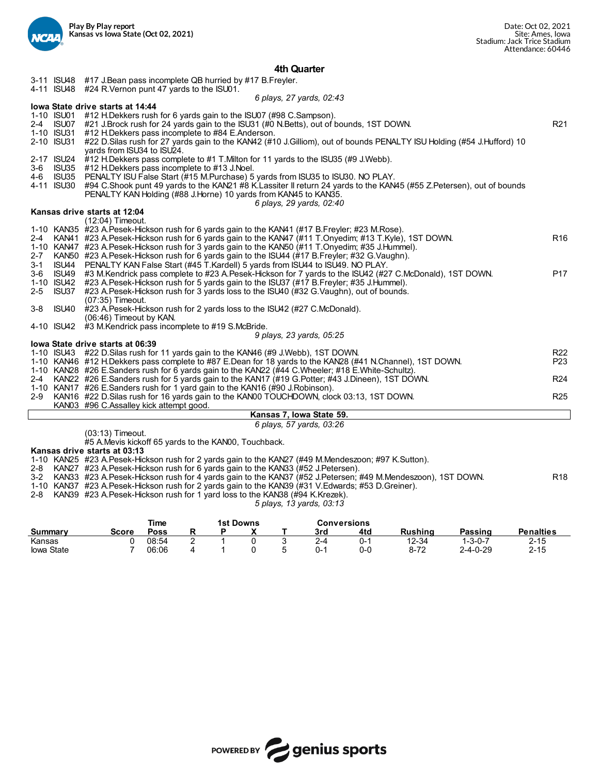

#### **4th Quarter**

|         |            | 3-11 ISU48 #17 J.Bean pass incomplete QB hurried by #17 B.Freyler.                                                    |                 |
|---------|------------|-----------------------------------------------------------------------------------------------------------------------|-----------------|
|         |            | 4-11 ISU48 #24 R. Vernon punt 47 yards to the ISU01.                                                                  |                 |
|         |            | 6 plays, 27 yards, 02:43                                                                                              |                 |
|         |            | lowa State drive starts at 14:44                                                                                      |                 |
|         |            | 1-10 ISU01 #12 H.Dekkers rush for 6 yards gain to the ISU07 (#98 C.Sampson).                                          |                 |
|         |            | 2-4 ISU07 #21 J.Brock rush for 24 yards gain to the ISU31 (#0 N.Betts), out of bounds, 1ST DOWN.                      | R <sub>21</sub> |
|         |            | 1-10 ISU31 #12 H.Dekkers pass incomplete to #84 E.Anderson.                                                           |                 |
|         | 2-10 ISU31 | #22 D.Silas rush for 27 yards gain to the KAN42 (#10 J.Gilliom), out of bounds PENALTY ISU Holding (#54 J.Hufford) 10 |                 |
|         |            | yards from ISU34 to ISU24.                                                                                            |                 |
|         |            | 2-17 ISU24 #12 H.Dekkers pass complete to #1 T.Milton for 11 yards to the ISU35 (#9 J.Webb).                          |                 |
| $3 - 6$ |            | ISU35 #12 H.Dekkers pass incomplete to #13 J.Noel.                                                                    |                 |
| 4-6     | ISU35      | PENALTY ISU False Start (#15 M.Purchase) 5 yards from ISU35 to ISU30. NO PLAY.                                        |                 |
|         | 4-11 ISU30 | #94 C.Shook punt 49 yards to the KAN21 #8 K.Lassiter II return 24 yards to the KAN45 (#55 Z.Petersen), out of bounds  |                 |
|         |            | PENALTY KAN Holding (#88 J.Horne) 10 yards from KAN45 to KAN35.                                                       |                 |
|         |            | 6 plays, 29 yards, 02:40                                                                                              |                 |
|         |            | Kansas drive starts at 12:04                                                                                          |                 |
|         |            | (12:04) Timeout.                                                                                                      |                 |
|         |            | 1-10 KAN35 #23 A.Pesek-Hickson rush for 6 yards gain to the KAN41 (#17 B.Freyler; #23 M.Rose).                        |                 |
| 2-4     |            | KAN41 #23 A.Pesek-Hickson rush for 6 yards gain to the KAN47 (#11 T.Onyedim; #13 T.Kyle), 1ST DOWN.                   | R <sub>16</sub> |
|         |            | 1-10 KAN47 #23 A. Pesek-Hickson rush for 3 yards gain to the KAN50 (#11 T. Onyedim; #35 J. Hummel).                   |                 |
| $2 - 7$ |            | KAN50 #23 A.Pesek-Hickson rush for 6 yards gain to the ISU44 (#17 B.Freyler; #32 G.Vaughn).                           |                 |
| $3 - 1$ |            | ISU44 PENALTY KAN False Start (#45 T.Kardell) 5 yards from ISU44 to ISU49. NO PLAY.                                   |                 |
| $3 - 6$ |            | ISU49 #3 M.Kendrick pass complete to #23 A.Pesek-Hickson for 7 yards to the ISU42 (#27 C.McDonald), 1ST DOWN.         | P <sub>17</sub> |
|         |            | 1-10 ISU42 #23 A. Pesek-Hickson rush for 5 yards gain to the ISU37 (#17 B. Freyler; #35 J. Hummel).                   |                 |
| $2 - 5$ | ISU37      | #23 A.Pesek-Hickson rush for 3 yards loss to the ISU40 (#32 G.Vaughn), out of bounds.                                 |                 |
|         |            | (07:35) Timeout.                                                                                                      |                 |
| $3 - 8$ | ISU40      | #23 A.Pesek-Hickson rush for 2 yards loss to the ISU42 (#27 C.McDonald).                                              |                 |
|         |            | $(06:46)$ Timeout by KAN.                                                                                             |                 |
|         |            | 4-10 ISU42 #3 M.Kendrick pass incomplete to #19 S.McBride.                                                            |                 |
|         |            | 9 plays, 23 yards, 05:25<br>lowa State drive starts at 06:39                                                          |                 |
|         |            | 1-10 ISU43 #22 D. Silas rush for 11 yards gain to the KAN46 (#9 J. Webb), 1ST DOWN.                                   | R <sub>22</sub> |
|         |            | 1-10 KAN46 #12 H.Dekkers pass complete to #87 E.Dean for 18 yards to the KAN28 (#41 N.Channel), 1ST DOWN.             | P <sub>23</sub> |
|         |            | 1-10 KAN28 #26 E.Sanders rush for 6 yards gain to the KAN22 (#44 C.Wheeler; #18 E.White-Schultz).                     |                 |
|         |            | 2-4 KAN22 #26 E.Sanders rush for 5 yards gain to the KAN17 (#19 G.Potter; #43 J.Dineen), 1ST DOWN.                    | R <sub>24</sub> |
|         |            | 1-10 KAN17 #26 E.Sanders rush for 1 yard gain to the KAN16 (#90 J.Robinson).                                          |                 |
|         |            | 2-9 KAN16 #22 D. Silas rush for 16 yards gain to the KAN00 TOUCHDOWN, clock 03:13, 1ST DOWN.                          | R <sub>25</sub> |
|         |            | KAN03 #96 C.Assalley kick attempt good.                                                                               |                 |
|         |            | Kansas 7, Iowa State 59.                                                                                              |                 |
|         |            | 6 plays, 57 yards, 03:26                                                                                              |                 |
|         |            | (0.0, 1.0)                                                                                                            |                 |

(03:13) Timeout.

#5 A.Mevis kickoff 65 yards to the KAN00, Touchback.

#### **Kansas drive starts at 03:13**

1-10 KAN25 #23 A.Pesek-Hickson rush for 2 yards gain to the KAN27 (#49 M.Mendeszoon; #97 K.Sutton).

2-8 KAN27 #23 A.Pesek-Hickson rush for 6 yards gain to the KAN33 (#52 J.Petersen).

3-2 KAN33 #23 A.Pesek-Hickson rush for 4 yards gain to the KAN37 (#52 J.Petersen; #49 M.Mendeszoon), 1ST DOWN. R18

1-10 KAN37 #23 A.Pesek-Hickson rush for 2 yards gain to the KAN39 (#31 V.Edwards; #53 D.Greiner).

2-8 KAN39 #23 A.Pesek-Hickson rush for 1 yard loss to the KAN38 (#94 K.Krezek).

*5 plays, 13 yards, 03:13*

|            |       | Time  |   | 1st Downs |   |     | Conversions |          |                  |                  |  |
|------------|-------|-------|---|-----------|---|-----|-------------|----------|------------------|------------------|--|
| Summarv    | Score | Poss  |   |           |   | 3rd | 4td         | Rushina  | Passing          | <b>Penalties</b> |  |
| Kansas     |       | 08:54 | - |           | ∼ | 2-4 | U-          | 12-34    | -3-0-7           | $2 - 15$         |  |
| lowa State |       | 06:06 |   |           |   | በ-1 | 0-0         | $8 - 72$ | $2 - 4 - 0 - 29$ | $2 - 15$         |  |